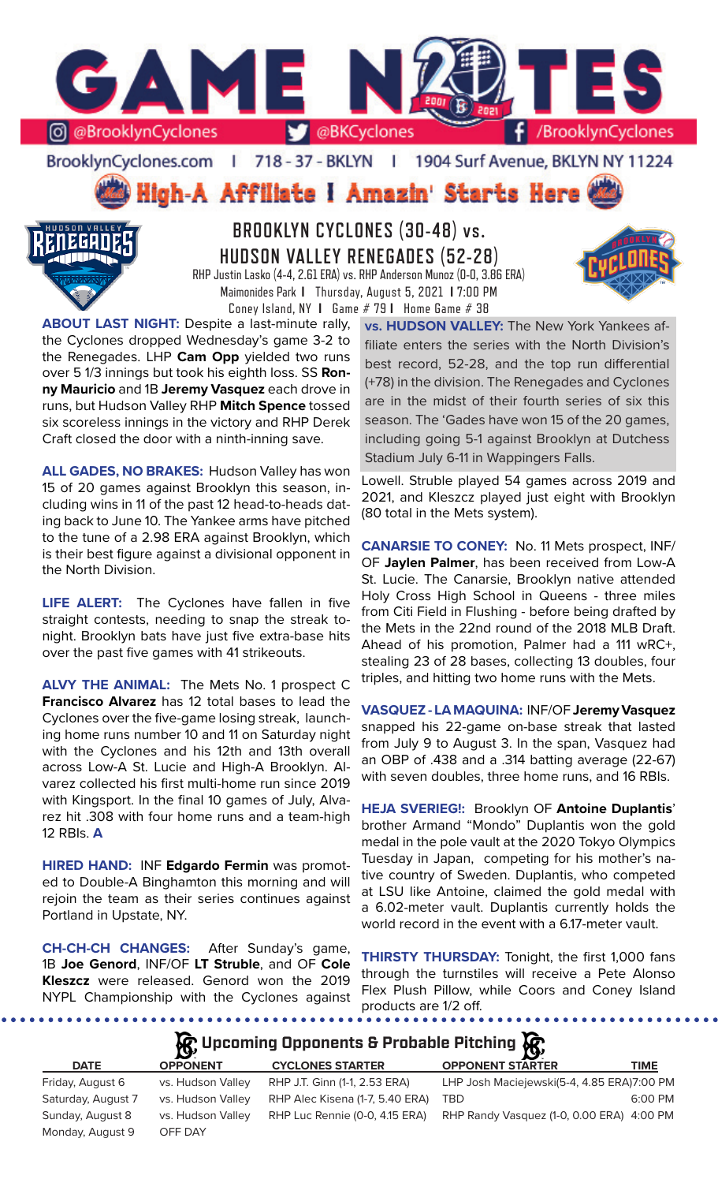

BrooklynCyclones.com | 718 - 37 - BKLYN | 1904 Surf Avenue, BKLYN NY 11224

High-A Affiliate I Amazin' Starts Here



# **BROOKLYN CYCLONES (30-48) vs. HUDSON VALLEY RENEGADES (52-28)** RHP Justin Lasko (4-4, 2.61 ERA) vs. RHP Anderson Munoz (0-0, 3.86 ERA) Maimonides Park **I** Thursday, August 5, 2021 **I** 7:00 PM

Coney Island, NY **I** Game # 79 **I** Home Game # 38



**ABOUT LAST NIGHT:** Despite a last-minute rally, the Cyclones dropped Wednesday's game 3-2 to the Renegades. LHP **Cam Opp** yielded two runs over 5 1/3 innings but took his eighth loss. SS **Ronny Mauricio** and 1B **Jeremy Vasquez** each drove in runs, but Hudson Valley RHP **Mitch Spence** tossed six scoreless innings in the victory and RHP Derek Craft closed the door with a ninth-inning save.

**ALL GADES, NO BRAKES:** Hudson Valley has won 15 of 20 games against Brooklyn this season, including wins in 11 of the past 12 head-to-heads dating back to June 10. The Yankee arms have pitched to the tune of a 2.98 ERA against Brooklyn, which is their best figure against a divisional opponent in the North Division.

**LIFE ALERT:** The Cyclones have fallen in five straight contests, needing to snap the streak tonight. Brooklyn bats have just five extra-base hits over the past five games with 41 strikeouts.

**ALVY THE ANIMAL:** The Mets No. 1 prospect C **Francisco Alvarez** has 12 total bases to lead the Cyclones over the five-game losing streak, launching home runs number 10 and 11 on Saturday night with the Cyclones and his 12th and 13th overall across Low-A St. Lucie and High-A Brooklyn. Alvarez collected his first multi-home run since 2019 with Kingsport. In the final 10 games of July, Alvarez hit .308 with four home runs and a team-high 12 RBIs. **A**

**HIRED HAND:** INF **Edgardo Fermin** was promoted to Double-A Binghamton this morning and will rejoin the team as their series continues against Portland in Upstate, NY.

**CH-CH-CH CHANGES:** After Sunday's game, 1B **Joe Genord**, INF/OF **LT Struble**, and OF **Cole Kleszcz** were released. Genord won the 2019 NYPL Championship with the Cyclones against

**vs. HUDSON VALLEY:** The New York Yankees affiliate enters the series with the North Division's best record, 52-28, and the top run differential (+78) in the division. The Renegades and Cyclones are in the midst of their fourth series of six this season. The 'Gades have won 15 of the 20 games, including going 5-1 against Brooklyn at Dutchess Stadium July 6-11 in Wappingers Falls.

Lowell. Struble played 54 games across 2019 and 2021, and Kleszcz played just eight with Brooklyn (80 total in the Mets system).

**CANARSIE TO CONEY:** No. 11 Mets prospect, INF/ OF **Jaylen Palmer**, has been received from Low-A St. Lucie. The Canarsie, Brooklyn native attended Holy Cross High School in Queens - three miles from Citi Field in Flushing - before being drafted by the Mets in the 22nd round of the 2018 MLB Draft. Ahead of his promotion, Palmer had a 111 wRC+, stealing 23 of 28 bases, collecting 13 doubles, four triples, and hitting two home runs with the Mets.

**VASQUEZ - LA MAQUINA:** INF/OF **Jeremy Vasquez** snapped his 22-game on-base streak that lasted from July 9 to August 3. In the span, Vasquez had an OBP of .438 and a .314 batting average (22-67) with seven doubles, three home runs, and 16 RBIs.

**HEJA SVERIEG!:** Brooklyn OF **Antoine Duplantis**' brother Armand "Mondo" Duplantis won the gold medal in the pole vault at the 2020 Tokyo Olympics Tuesday in Japan, competing for his mother's native country of Sweden. Duplantis, who competed at LSU like Antoine, claimed the gold medal with a 6.02-meter vault. Duplantis currently holds the world record in the event with a 6.17-meter vault.

**THIRSTY THURSDAY:** Tonight, the first 1,000 fans through the turnstiles will receive a Pete Alonso Flex Plush Pillow, while Coors and Coney Island products are 1/2 off.

...................

# **Upcoming Opponents & Probable Pitching**

| <b>DATE</b>        | <b>OPPONENT</b>   | <b>CYCLONES STARTER</b>         | <b>OPPONENT STARTER</b>                    | <b>TIME</b> |
|--------------------|-------------------|---------------------------------|--------------------------------------------|-------------|
| Friday, August 6   | vs. Hudson Valley | RHP J.T. Ginn (1-1, 2.53 ERA)   | LHP Josh Maciejewski(5-4, 4.85 ERA)7:00 PM |             |
| Saturday, August 7 | vs. Hudson Valley | RHP Alec Kisena (1-7, 5.40 ERA) | <b>TBD</b>                                 | 6:00 PM     |
| Sunday, August 8   | vs. Hudson Valley | RHP Luc Rennie (0-0, 4.15 ERA)  | RHP Randy Vasquez (1-0, 0.00 ERA) 4:00 PM  |             |
| Monday, August 9   | OFF DAY           |                                 |                                            |             |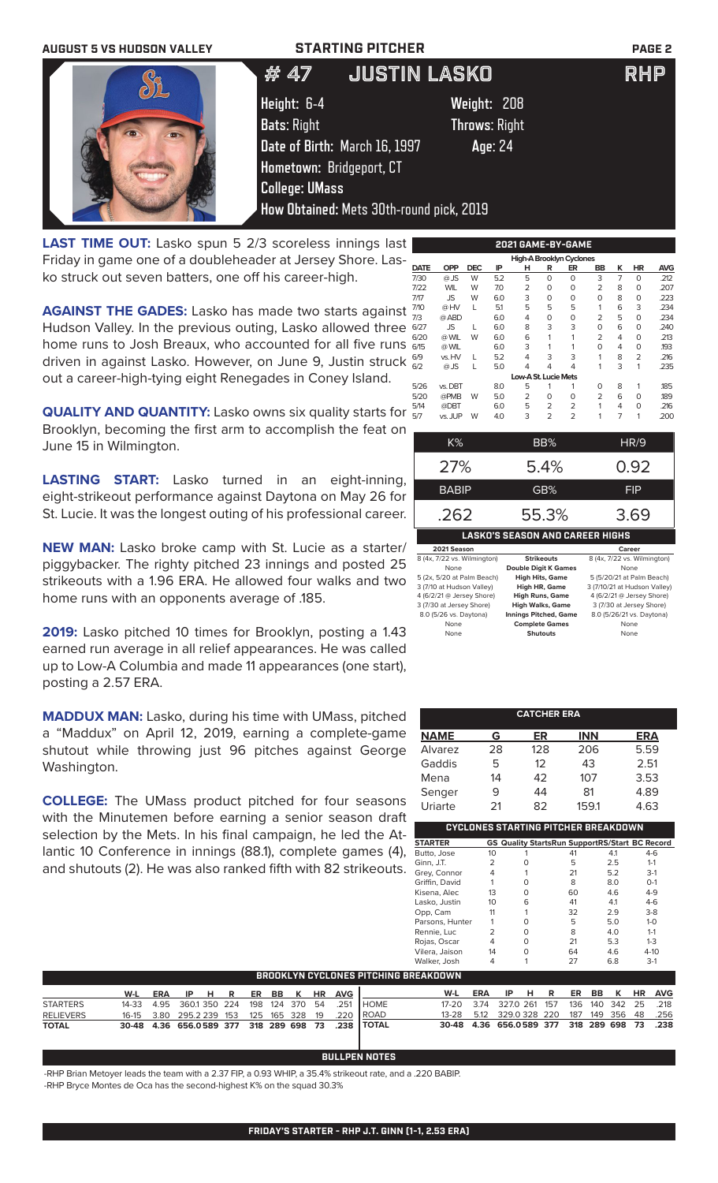# **AUGUST 5 VS HUDSON VALLEY STARTING PITCHER PAGE 2** # 47 JUSTIN LASKO RHP **Height:** 6-4 **Weight:** 208 **Bats**: Right **Throws**: Right **Date of Birth:** March 16, 1997 **Age**: 24 **Hometown:** Bridgeport, CT **College: UMass How Obtained:** Mets 30th-round pick, 2019

**LAST TIME OUT:** Lasko spun 5 2/3 scoreless innings last Friday in game one of a doubleheader at Jersey Shore. Lasko struck out seven batters, one off his career-high.

**AGAINST THE GADES:** Lasko has made two starts against Hudson Valley. In the previous outing, Lasko allowed three home runs to Josh Breaux, who accounted for all five runs driven in against Lasko. However, on June 9, Justin struck out a career-high-tying eight Renegades in Coney Island.

**QUALITY AND QUANTITY:** Lasko owns six quality starts for Brooklyn, becoming the first arm to accomplish the feat on June 15 in Wilmington.

**LASTING START:** Lasko turned in an eight-inning, eight-strikeout performance against Daytona on May 26 for St. Lucie. It was the longest outing of his professional career.

**NEW MAN:** Lasko broke camp with St. Lucie as a starter/ piggybacker. The righty pitched 23 innings and posted 25 strikeouts with a 1.96 ERA. He allowed four walks and two home runs with an opponents average of .185.

**2019:** Lasko pitched 10 times for Brooklyn, posting a 1.43 earned run average in all relief appearances. He was called up to Low-A Columbia and made 11 appearances (one start), posting a 2.57 ERA.

**MADDUX MAN:** Lasko, during his time with UMass, pitched a "Maddux" on April 12, 2019, earning a complete-game shutout while throwing just 96 pitches against George Washington.

**COLLEGE:** The UMass product pitched for four seasons with the Minutemen before earning a senior season draft selection by the Mets. In his final campaign, he led the Atlantic 10 Conference in innings (88.1), complete games (4), and shutouts (2). He was also ranked fifth with 82 strikeouts.

|             |            |            |     |                      |                | 2021 GAME-BY-GAME        |                |   |                |            |
|-------------|------------|------------|-----|----------------------|----------------|--------------------------|----------------|---|----------------|------------|
|             |            |            |     |                      |                | High-A Brooklyn Cyclones |                |   |                |            |
| <b>DATE</b> | <b>OPP</b> | <b>DEC</b> | IP  | н                    | R              | ER                       | BB             | κ | <b>HR</b>      | <b>AVG</b> |
| 7/30        | $@$ JS     | W          | 5.2 | 5                    | $\Omega$       | O                        | 3              | 7 | $\Omega$       | .212       |
| 7/22        | <b>WIL</b> | W          | 7.0 | $\overline{2}$       | 0              | 0                        | $\overline{2}$ | 8 | $\Omega$       | .207       |
| 7/17        | JS         | W          | 6.0 | 3                    | 0              | O                        | 0              | 8 | 0              | .223       |
| 7/10        | @ HV       | L          | 5.1 | 5                    | 5              | 5                        | 1              | 6 | 3              | .234       |
| 7/3         | @ ABD      |            | 6.0 | 4                    | 0              | 0                        | $\overline{2}$ | 5 | $\Omega$       | .234       |
| 6/27        | <b>JS</b>  | L          | 6.0 | 8                    | 3              | 3                        | $\Omega$       | 6 | $\Omega$       | .240       |
| 6/20        | @ WIL      | W          | 6.0 | 6                    | 1              | 1                        | $\overline{2}$ | 4 | 0              | .213       |
| 6/15        | @ WIL      |            | 6.0 | 3                    | 1              | 1                        | 0              | 4 | 0              | 193        |
| 6/9         | vs. HV     | L          | 5.2 | 4                    | 3              | 3                        | 1              | 8 | $\overline{2}$ | .216       |
| 6/2         | $@$ JS     |            | 5.0 | 4                    | 4              | 4                        | 1              | 3 | 1              | .235       |
|             |            |            |     | Low-A St. Lucie Mets |                |                          |                |   |                |            |
| 5/26        | vs. DBT    |            | 8.0 | 5                    | 1              | 1                        | $\Omega$       | 8 | 1              | .185       |
| 5/20        | @PMB       | W          | 5.0 | 2                    | 0              | O                        | $\overline{2}$ | 6 | $\Omega$       | .189       |
| 5/14        | @DBT       |            | 6.0 | 5                    | 2              | 2                        | 1              | 4 | 0              | .216       |
| 5/7         | vs. JUP    | W          | 4.0 | 3                    | $\overline{2}$ | $\overline{2}$           | 1              | 7 | 1              | .200       |
|             |            |            |     |                      |                |                          |                |   |                |            |

| K%                                                                                                                                                                                                                                                                                                                                                                                                                                                                   | BB%                                    | <b>HR/9</b>                 |
|----------------------------------------------------------------------------------------------------------------------------------------------------------------------------------------------------------------------------------------------------------------------------------------------------------------------------------------------------------------------------------------------------------------------------------------------------------------------|----------------------------------------|-----------------------------|
| 27%                                                                                                                                                                                                                                                                                                                                                                                                                                                                  | 5.4%                                   | 0.92                        |
| <b>BABIP</b>                                                                                                                                                                                                                                                                                                                                                                                                                                                         | GB%                                    | FIP                         |
| .262                                                                                                                                                                                                                                                                                                                                                                                                                                                                 | 55.3%                                  | 3.69                        |
|                                                                                                                                                                                                                                                                                                                                                                                                                                                                      | <b>LASKO'S SEASON AND CAREER HIGHS</b> |                             |
| 2021 Season                                                                                                                                                                                                                                                                                                                                                                                                                                                          |                                        | Career                      |
| 8 (4x, 7/22 vs. Wilmington)                                                                                                                                                                                                                                                                                                                                                                                                                                          | <b>Strikeouts</b>                      | 8 (4x, 7/22 vs. Wilmington) |
| None                                                                                                                                                                                                                                                                                                                                                                                                                                                                 | <b>Double Digit K Games</b>            | None                        |
| 5 (2x, 5/20 at Palm Beach)                                                                                                                                                                                                                                                                                                                                                                                                                                           | <b>High Hits, Game</b>                 | 5 (5/20/21 at Palm Beach)   |
| $\begin{array}{ccccccccccccccccc}\n\multicolumn{4}{c }{\sim} & \multicolumn{4}{c }{\sim} & \multicolumn{4}{c }{\sim} & \multicolumn{4}{c }{\sim} & \multicolumn{4}{c }{\sim} & \multicolumn{4}{c }{\sim} & \multicolumn{4}{c }{\sim} & \multicolumn{4}{c }{\sim} & \multicolumn{4}{c }{\sim} & \multicolumn{4}{c }{\sim} & \multicolumn{4}{c }{\sim} & \multicolumn{4}{c }{\sim} & \multicolumn{4}{c }{\sim} & \multicolumn{4}{c }{\sim} & \multicolumn{4}{c }{\sim$ |                                        |                             |

| 131117                     | <b>Double Digit is Sailles</b> | 1.911177                     |
|----------------------------|--------------------------------|------------------------------|
| 5 (2x, 5/20 at Palm Beach) | <b>High Hits, Game</b>         | 5 (5/20/21 at Palm Beach)    |
| 3 (7/10 at Hudson Valley)  | High HR, Game                  | 3 (7/10/21 at Hudson Valley) |
| 4 (6/2/21 @ Jersey Shore)  | <b>High Runs, Game</b>         | 4 (6/2/21 @ Jersey Shore)    |
| 3 (7/30 at Jersey Shore)   | <b>High Walks, Game</b>        | 3 (7/30 at Jersey Shore)     |
| 8.0 (5/26 vs. Daytona)     | <b>Innings Pitched, Game</b>   | 8.0 (5/26/21 vs. Daytona)    |
| None                       | <b>Complete Games</b>          | None                         |
| None                       | <b>Shutouts</b>                | None                         |
|                            |                                |                              |

| <b>CATCHER ERA</b>                  |    |                   |                                                 |            |  |  |
|-------------------------------------|----|-------------------|-------------------------------------------------|------------|--|--|
| <b>NAME</b>                         | G  | ER                | <b>INN</b>                                      | <b>ERA</b> |  |  |
| Alvarez                             | 28 | 128               | 206                                             | 5.59       |  |  |
| Gaddis                              | 5  | $12 \overline{ }$ | 43                                              | 2.51       |  |  |
| Mena                                | 14 | 42                | 107                                             | 3.53       |  |  |
| Senger                              | 9  | 44                | 81                                              | 4.89       |  |  |
| Uriarte                             | 21 | 82                | 159.1                                           | 4.63       |  |  |
| CYCLONES STARTING PITCHER BREAKDOWN |    |                   |                                                 |            |  |  |
| <b>CTADTED</b>                      |    |                   | CS Quality StarteDun Support DS/Start BC Decord |            |  |  |

| <b>STARTER</b>  |                 | <b>GS Quality StartsRun SupportRS/Start BC Record</b> |    |     |          |
|-----------------|-----------------|-------------------------------------------------------|----|-----|----------|
| Butto, Jose     | 10              |                                                       | 41 | 4.1 | $4-6$    |
| Ginn, J.T.      | $\overline{2}$  | Ω                                                     | 5  | 2.5 | $1 - 1$  |
| Grey, Connor    | 4               |                                                       | 21 | 5.2 | $3-1$    |
| Griffin, David  |                 | O                                                     | 8  | 8.0 | $O-1$    |
| Kisena, Alec    | 13              | O                                                     | 60 | 4.6 | $4 - 9$  |
| Lasko, Justin   | 10 <sup>2</sup> | 6                                                     | 41 | 4.1 | $4-6$    |
| Opp, Cam        | 11              | 1                                                     | 32 | 2.9 | $3-8$    |
| Parsons, Hunter |                 | O                                                     | 5  | 5.0 | $1 - 0$  |
| Rennie, Luc     | 2               | O                                                     | 8  | 4.0 | $1 - 1$  |
| Rojas, Oscar    | 4               | O                                                     | 21 | 5.3 | $1 - 3$  |
| Vilera, Jaison  | 14              | O                                                     | 64 | 4.6 | $4 - 10$ |
| Walker, Josh    |                 |                                                       | 27 | 6.8 | $3-1$    |
|                 |                 |                                                       |    |     |          |

| BROOKLYN CYCLONES PITCHING BREAKDOWN |  |  |                               |  |  |  |  |  |                                                             |                                                       |                               |  |  |  |  |
|--------------------------------------|--|--|-------------------------------|--|--|--|--|--|-------------------------------------------------------------|-------------------------------------------------------|-------------------------------|--|--|--|--|
|                                      |  |  | W-L ERA IP H R ER BB K HR AVG |  |  |  |  |  |                                                             |                                                       | W-L ERA IP H R ER BB K HR AVG |  |  |  |  |
| <b>STARTERS</b>                      |  |  |                               |  |  |  |  |  | 14-33  4.95  360.1  350  224  198  124  370  54  .251  HOME | 17-20 3.74 327.0 261 157 136 140 342 25 .218          |                               |  |  |  |  |
| <b>RELIEVERS</b>                     |  |  |                               |  |  |  |  |  | 16-15 3.80 295.2 239 153 125 165 328 19 .220 ROAD           | 13-28  5.12  329.0  328  220  187  149  356  48  .256 |                               |  |  |  |  |
| <b>TOTAL</b>                         |  |  |                               |  |  |  |  |  | 30-48 4.36 656.0589 377 318 289 698 73 .238 TOTAL           | 30-48 4.36 656.0589 377 318 289 698 73 .238           |                               |  |  |  |  |

## **BULLPEN NOTES**

-RHP Brian Metoyer leads the team with a 2.37 FIP, a 0.93 WHIP, a 35.4% strikeout rate, and a .220 BABIP. -RHP Bryce Montes de Oca has the second-highest K% on the squad 30.3%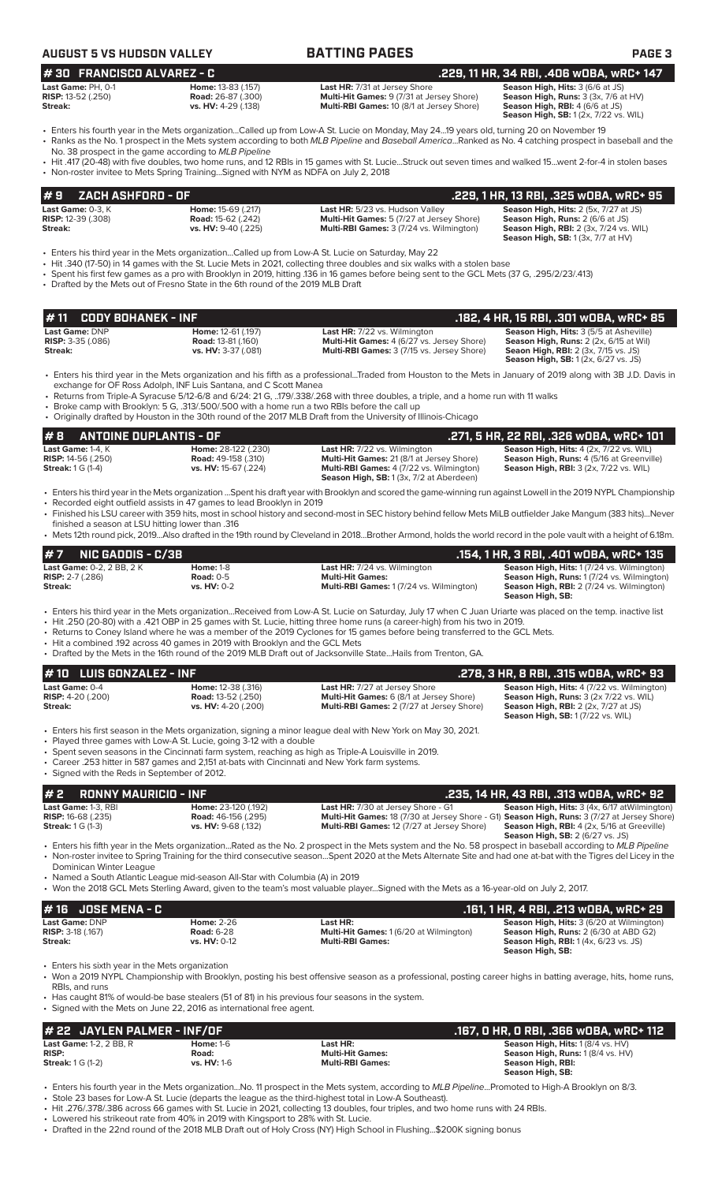| <b>AUGUST 5 VS HUDSON VALLEY</b>                           |                                                                        | <b>BATTING PAGES</b>                                                                                                                                                                                                                                                                                  | <b>PAGE 3</b>                                                                                                                                                     |
|------------------------------------------------------------|------------------------------------------------------------------------|-------------------------------------------------------------------------------------------------------------------------------------------------------------------------------------------------------------------------------------------------------------------------------------------------------|-------------------------------------------------------------------------------------------------------------------------------------------------------------------|
| #30 FRANCISCO ALVAREZ - C                                  |                                                                        |                                                                                                                                                                                                                                                                                                       | .229, 11 HR, 34 RBI, .406 wOBA, wRC+ 147                                                                                                                          |
| Last Game: PH, 0-1<br><b>RISP:</b> 13-52 (.250)<br>Streak: | Home: 13-83 (.157)<br><b>Road: 26-87 (.300)</b><br>vs. HV: 4-29 (.138) | <b>Last HR: 7/31 at Jersey Shore</b><br>Multi-Hit Games: 9 (7/31 at Jersey Shore)<br>Multi-RBI Games: 10 (8/1 at Jersey Shore)                                                                                                                                                                        | Season High, Hits: 3 (6/6 at JS)<br><b>Season High, Runs: 3 (3x, 7/6 at HV)</b><br>Season High, RBI: 4 (6/6 at JS)<br><b>Season High, SB:</b> 1(2x, 7/22 vs. WIL) |
| $\blacksquare$                                             | No. 38 prospect in the game according to MLB Pipeline                  | • Enters his fourth year in the Mets organizationCalled up from Low-A St. Lucie on Monday, May 2419 years old, turning 20 on November 19<br>• Ranks as the No. 1 prospect in the Mets system according to both MLB Pipeline and Baseball AmericaRanked as No. 4 catching prospect in baseball and the |                                                                                                                                                                   |

• Hit .417 (20-48) with five doubles, two home runs, and 12 RBIs in 15 games with St. Lucie...Struck out seven times and walked 15...went 2-for-4 in stolen bases • Non-roster invitee to Mets Spring Training...Signed with NYM as NDFA on July 2, 2018

|         | $# 9$ ZACH ASHFORD - OF   |                           |                                                  | .229. 1 HR. 13 RBI. .325 WOBA. WRC+ 95        |
|---------|---------------------------|---------------------------|--------------------------------------------------|-----------------------------------------------|
|         | Last Game: $0-3$ . $K$    | <b>Home: 15-69 (.217)</b> | Last HR: 5/23 vs. Hudson Valley                  | <b>Season High, Hits: 2 (5x, 7/27 at JS)</b>  |
|         | <b>RISP:</b> 12-39 (.308) | <b>Road:</b> 15-62 (.242) | <b>Multi-Hit Games:</b> 5 (7/27 at Jersey Shore) | <b>Season High, Runs: 2 (6/6 at JS)</b>       |
| Streak: |                           | vs. HV: 9-40 (.225)       | <b>Multi-RBI Games: 3 (7/24 vs. Wilmington)</b>  | <b>Season High, RBI:</b> 2 (3x, 7/24 vs. WIL) |
|         |                           |                           |                                                  | <b>Season High, SB:</b> $1(3x, 7/7$ at $HV$ ) |

• Enters his third year in the Mets organization...Called up from Low-A St. Lucie on Saturday, May 22

- Hit .340 (17-50) in 14 games with the St. Lucie Mets in 2021, collecting three doubles and six walks with a stolen base
- Spent his first few games as a pro with Brooklyn in 2019, hitting .136 in 16 games before being sent to the GCL Mets (37 G, .295/2/23/.413)
- Drafted by the Mets out of Fresno State in the 6th round of the 2019 MLB Draft

|                            |                           |                                                   | . 182, 4 HR, 15 RBI, .301 wOBA, wRC+ 85. ا     |
|----------------------------|---------------------------|---------------------------------------------------|------------------------------------------------|
| Last Game: DNP             | Home: 12-61 (.197)        | <b>Last HR:</b> 7/22 vs. Wilmington               | <b>Season High, Hits: 3 (5/5 at Asheville)</b> |
| <b>RISP:</b> $3-35$ (.086) | <b>Road: 13-81 (.160)</b> | <b>Multi-Hit Games:</b> 4 (6/27 vs. Jersey Shore) | <b>Season High, Runs:</b> 2 (2x, 6/15 at Wil)  |
| Streak:                    | vs. HV: 3-37 (.081)       | <b>Multi-RBI Games:</b> 3 (7/15 vs. Jersey Shore) | <b>Seaon High, RBI:</b> 2 (3x, 7/15 vs. JS)    |
|                            |                           |                                                   | <b>Season High, SB:</b> 1 (2x, 6/27 vs. JS)    |

• Enters his third year in the Mets organization and his fifth as a professional...Traded from Houston to the Mets in January of 2019 along with 3B J.D. Davis in exchange for OF Ross Adolph, INF Luis Santana, and C Scott Manea

• Returns from Triple-A Syracuse 5/12-6/8 and 6/24: 21 G, ..179/.338/.268 with three doubles, a triple, and a home run with 11 walks

• Broke camp with Brooklyn: 5 G, .313/.500/.500 with a home run a two RBIs before the call up

• Originally drafted by Houston in the 30th round of the 2017 MLB Draft from the University of Illinois-Chicago

### **# 8 ANTOINE DUPLANTIS - OF .271, 5 HR, 22 RBI, .326 wOBA, wRC+ 101 Last Game:** 1-4, K **Home:** 28-122 (.230) **Last HR:** 7/22 vs. Wilmington **Season High, Hits:** 4 (2x, 7/22 vs. WIL) **RISP:** 14-56 (.250) **Road:** 49-158 (.310) **Multi-Hit Games:** 21 (8/1 at Jersey Shore) **Season High, Runs:** 4 (5/16 at Greenville) **Streak:** 1 G (1-4) **vs. HV:** 15-67 (.224) **Multi-RBI Games:** 4 (7/22 vs. Wilmington) **Season High, RBI:** 3 (2x, 7/22 vs. WIL) **Season High, SB:** 1 (3x, 7/2 at Aberdeen)

• Enters his third year in the Mets organization ...Spent his draft year with Brooklyn and scored the game-winning run against Lowell in the 2019 NYPL Championship • Recorded eight outfield assists in 47 games to lead Brooklyn in 2019 • Finished his LSU career with 359 hits, most in school history and second-most in SEC history behind fellow Mets MiLB outfielder Jake Mangum (383 hits)...Never

finished a season at LSU hitting lower than .316 • Mets 12th round pick, 2019...Also drafted in the 19th round by Cleveland in 2018...Brother Armond, holds the world record in the pole vault with a height of 6.18m.

| $#7$ NIC GADDIS - C/3B           |                  |                                                                                                                                                                                                                                                                                              | .154. 1 HR. 3 RBI. .401 wOBA. wRC+ 135                               |
|----------------------------------|------------------|----------------------------------------------------------------------------------------------------------------------------------------------------------------------------------------------------------------------------------------------------------------------------------------------|----------------------------------------------------------------------|
| <b>Last Game:</b> 0-2. 2 BB. 2 K | <b>Home: 1-8</b> | <b>Last HR:</b> 7/24 vs. Wilmington                                                                                                                                                                                                                                                          | <b>Season High, Hits: 1(7/24 vs. Wilmington)</b>                     |
| <b>RISP:</b> 2-7 (.286)          | Road: $0-5$      | <b>Multi-Hit Games:</b>                                                                                                                                                                                                                                                                      | Season High, Runs: 1 (7/24 vs. Wilmington)                           |
| Streak:                          | $vs. HV: 0-2$    | <b>Multi-RBI Games: 1(7/24 vs. Wilmington)</b>                                                                                                                                                                                                                                               | <b>Season High, RBI: 2 (7/24 vs. Wilmington)</b><br>Season High, SB: |
|                                  |                  | • Enters his third year in the Mets organizationReceived from Low-A St. Lucie on Saturday, July 17 when C Juan Uriarte was placed on the temp, inactive list<br>• Hit .250 (20-80) with a .421 OBP in 25 games with St. Lucie, hitting three home runs (a career-high) from his two in 2019. |                                                                      |

• Returns to Coney Island where he was a member of the 2019 Cyclones for 15 games before being transferred to the GCL Mets.

- Hit a combined .192 across 40 games in 2019 with Brooklyn and the GCL Mets
- Drafted by the Mets in the 16th round of the 2019 MLB Draft out of Jacksonville State...Hails from Trenton, GA.

| $# 10$ LUIS GONZALEZ - INF                                                                                                                                                   |                                                 |                                                                                                                | .278. 3 HR. 8 RBI. .315 WOBA. WRC+ 93                                                |
|------------------------------------------------------------------------------------------------------------------------------------------------------------------------------|-------------------------------------------------|----------------------------------------------------------------------------------------------------------------|--------------------------------------------------------------------------------------|
| Last Game: 0-4<br><b>RISP:</b> $4-20$ (.200)                                                                                                                                 | Home: 12-38 (.316)<br><b>Road: 13-52 (.250)</b> | <b>Last HR: 7/27 at Jersey Shore</b><br>Multi-Hit Games: 6 (8/1 at Jersey Shore)                               | Season High, Hits: 4 (7/22 vs. Wilmington)<br>Season High, Runs: 3 (2x 7/22 vs. WIL) |
| Streak:                                                                                                                                                                      | vs. HV: 4-20 (.200)                             | Multi-RBI Games: 2 (7/27 at Jersey Shore)                                                                      | <b>Season High, RBI:</b> 2 (2x, 7/27 at JS)<br>Season High, SB: 1 (7/22 vs. WIL)     |
| • Played three games with Low-A St. Lucie, going 3-12 with a double<br>. Spent seven seasons in the Cincinnati farm system, reaching as high as Triple-A Louisville in 2019. |                                                 | • Enters his first season in the Mets organization, signing a minor league deal with New York on May 30, 2021. |                                                                                      |

• Career .253 hitter in 587 games and 2,151 at-bats with Cincinnati and New York farm systems. • Signed with the Reds in September of 2012.

### **# 2 RONNY MAURICIO - INF .235, 14 HR, 43 RBI, .313 wOBA, wRC+ 92 Last Game:** 1-3, RBI **Home:** 23-120 (.192) **Last HR:** 7/30 at Jersey Shore - G1 **Season High, Hits:** 3 (4x, 6/17 atWilmington) **RISP:** 16-68 (.235) **Road:** 46-156 (.295) **Multi-Hit Games:** 18 (7/30 at Jersey Shore - G1) **Season High, Runs:** 3 (7/27 at Jersey Shore) **Streak:** 1 G (1-3) **vs. HV:** 9-68 (.132) **Multi-RBI Games:** 12 (7/27 at Jersey Shore) **Season High, RBI:** 4 (2x, 5/16 at Greeville) **Season High, SB:** 2 (6/27 vs. JS) • Enters his fifth year in the Mets organization...Rated as the No. 2 prospect in the Mets system and the No. 58 prospect in baseball according to *MLB Pipeline*

• Non-roster invitee to Spring Training for the third consecutive season...Spent 2020 at the Mets Alternate Site and had one at-bat with the Tigres del Licey in the Dominican Winter League

• Named a South Atlantic League mid-season All-Star with Columbia (A) in 2019

• Won the 2018 GCL Mets Sterling Award, given to the team's most valuable player...Signed with the Mets as a 16-year-old on July 2, 2017.

| # 16 JOSE MENA - C         |                   |                                                | .161, 1 HR, 4 RBI, .213 wOBA, wRC+ 29            |
|----------------------------|-------------------|------------------------------------------------|--------------------------------------------------|
| <b>Last Game: DNP</b>      | <b>Home: 2-26</b> | Last HR:                                       | <b>Season High, Hits: 3 (6/20 at Wilmington)</b> |
| <b>RISP:</b> $3-18$ (.167) | <b>Road: 6-28</b> | <b>Multi-Hit Games: 1 (6/20 at Wilmington)</b> | <b>Season High, Runs: 2 (6/30 at ABD G2)</b>     |
| Streak:                    | $vs. HV: 0-12$    | <b>Multi-RBI Games:</b>                        | <b>Season High, RBI:</b> 1(4x, 6/23 vs. JS)      |
|                            |                   |                                                | Season High, SB:                                 |

Enters his sixth year in the Mets organization

• Won a 2019 NYPL Championship with Brooklyn, posting his best offensive season as a professional, posting career highs in batting average, hits, home runs, RBIs, and runs

• Has caught 81% of would-be base stealers (51 of 81) in his previous four seasons in the system.

Signed with the Mets on June 22, 2016 as international free agent.

| # 22 JAYLEN PALMER - INF/OF         |                    |                         | .167, O HR, O RBI, .366 wOBA, wRC+ 112   |
|-------------------------------------|--------------------|-------------------------|------------------------------------------|
| <b>Last Game: 1-2, 2 BB, R</b>      | <b>Home: 1-6</b>   | Last HR:                | <b>Season High, Hits: 1 (8/4 vs. HV)</b> |
| <b>RISP:</b>                        | Road:              | <b>Multi-Hit Games:</b> | <b>Season High, Runs: 1 (8/4 vs. HV)</b> |
| <b>Streak:</b> $1 \text{ G } (1-2)$ | <b>vs. HV: 1-6</b> | <b>Multi-RBI Games:</b> | Season High, RBI:                        |
|                                     |                    |                         | Season High, SB:                         |

• Enters his fourth year in the Mets organization...No. 11 prospect in the Mets system, according to *MLB Pipeline*...Promoted to High-A Brooklyn on 8/3. • Stole 23 bases for Low-A St. Lucie (departs the league as the third-highest total in Low-A Southeast).

• Hit .276/.378/.386 across 66 games with St. Lucie in 2021, collecting 13 doubles, four triples, and two home runs with 24 RBIs.

Lowered his strikeout rate from 40% in 2019 with Kingsport to 28% with St. Lucie.

• Drafted in the 22nd round of the 2018 MLB Draft out of Holy Cross (NY) High School in Flushing...\$200K signing bonus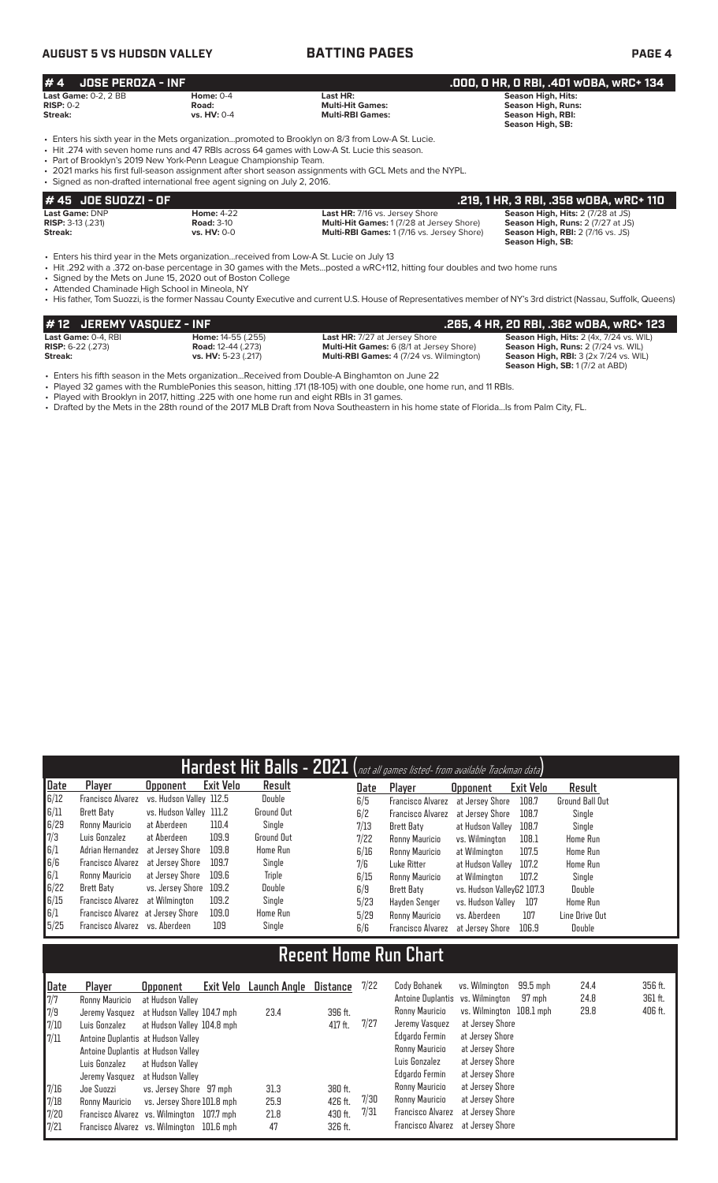# **AUGUST 5 VS HUDSON VALLEY BATTING PAGES PAGE 4**

| $# 4$ JOSE PEROZA - INF     |               |                         | .000, 0 HR, 0 RBI, .401 w0BA, wRC+ 134 , |
|-----------------------------|---------------|-------------------------|------------------------------------------|
| <b>Last Game:</b> 0-2. 2 BB | Home: $0-4$   | Last HR:                | <b>Season High, Hits:</b>                |
| <b>RISP: 0-2</b>            | Road:         | <b>Multi-Hit Games:</b> | <b>Season High, Runs:</b>                |
| Streak:                     | vs. $HV: 0-4$ | <b>Multi-RBI Games:</b> | Season High, RBI:                        |
|                             |               |                         | Season High, SB:                         |

• Enters his sixth year in the Mets organization...promoted to Brooklyn on 8/3 from Low-A St. Lucie.

• Hit .274 with seven home runs and 47 RBIs across 64 games with Low-A St. Lucie this season.

• Part of Brooklyn's 2019 New York-Penn League Championship Team.

• 2021 marks his first full-season assignment after short season assignments with GCL Mets and the NYPL.

|                          | • Signed as non-drafted international free agent signing on July 2, 2016. |                                            |                                          |
|--------------------------|---------------------------------------------------------------------------|--------------------------------------------|------------------------------------------|
| 1# 45   JOE SUOZZI - OF  |                                                                           |                                            | .219. 1 HR. 3 RBI. .358 WOBA. WRC+ 110   |
| <b>Last Game: DNP</b>    | <b>Home: 4-22</b>                                                         | <b>Last HR: 7/16 vs. Jersey Shore</b>      | Season High, Hits: 2 (7/28 at JS)        |
| <b>RISP:</b> 3-13 (.231) | <b>Road: 3-10</b>                                                         | Multi-Hit Games: 1 (7/28 at Jersey Shore)  | Season High, Runs: 2 (7/27 at JS)        |
| Streak:                  | <b>vs. HV: 0-0</b>                                                        | Multi-RBI Games: 1 (7/16 vs. Jersey Shore) | <b>Season High, RBI:</b> 2 (7/16 vs. JS) |
|                          |                                                                           |                                            | Season High, SB:                         |

• Enters his third year in the Mets organization...received from Low-A St. Lucie on July 13

• Hit .292 with a .372 on-base percentage in 30 games with the Mets...posted a wRC+112, hitting four doubles and two home runs

• Signed by the Mets on June 15, 2020 out of Boston College

• Attended Chaminade High School in Mineola, NY

• His father, Tom Suozzi, is the former Nassau County Executive and current U.S. House of Representatives member of NY's 3rd district (Nassau, Suffolk, Queens)

| $#$ 12 JEREMY VASOUEZ - INF |                             |                                                 | .265, 4 HR, 20 RBI, .362 wOBA, wRC+ 123              |
|-----------------------------|-----------------------------|-------------------------------------------------|------------------------------------------------------|
| Last Game: 0-4. RBI         | <b>Home:</b> $14-55$ (.255) | <b>Last HR:</b> 7/27 at Jersey Shore            | Season High, Hits: 2 (4x, 7/24 vs. WIL)              |
| <b>RISP:</b> $6-22$ (.273)  | <b>Road:</b> 12-44 (.273)   | <b>Multi-Hit Games:</b> 6 (8/1 at Jersey Shore) | Season High, Runs: 2 (7/24 vs. WIL)                  |
| Streak:                     | vs. HV: 5-23 (.217)         | <b>Multi-RBI Games:</b> 4 (7/24 vs. Wilmington) | <b>Season High, RBI:</b> $3$ ( $2x$ 7/ $24$ vs. WIL) |
|                             |                             |                                                 | <b>Season High, SB: 1 (7/2 at ABD)</b>               |

• Enters his fifth season in the Mets organization...Received from Double-A Binghamton on June 22

• Played 32 games with the RumblePonies this season, hitting .171 (18-105) with one double, one home run, and 11 RBIs.<br>• Played with Brooklyn in 2017, hitting .225 with one home run and eight RBIs in 31 games.

• Played with Brooklyn in 2017, hitting .225 with one home run and eight RBIs in 31 games.

• Drafted by the Mets in the 28th round of the 2017 MLB Draft from Nova Southeastern in his home state of Florida...Is from Palm City, FL.

| Hardest Hit Balls - 2021 (not all games listed- from available Trackman data) |                                   |                         |                  |                   |      |                          |                           |           |                        |
|-------------------------------------------------------------------------------|-----------------------------------|-------------------------|------------------|-------------------|------|--------------------------|---------------------------|-----------|------------------------|
| Date                                                                          | Player                            | <b>Opponent</b>         | <b>Exit Velo</b> | Result            | Date | Player                   | <b>Opponent</b>           | Exit Velo | Result                 |
| 6/12                                                                          | Francisco Alvarez                 | vs. Hudson Valley 112.5 |                  | Double            | 6/5  | <b>Francisco Alvarez</b> | at Jersey Shore           | 108.7     | <b>Ground Ball Out</b> |
| 6/11                                                                          | Brett Baty                        | vs. Hudson Valley 111.2 |                  | <b>Ground Out</b> | 6/2  | <b>Francisco Alvarez</b> | at Jersey Shore           | 108.7     | Single                 |
| 6/29                                                                          | Ronny Mauricio                    | at Aberdeen             | 110.4            | Single            | 7/13 | Brett Baty               | at Hudson Valley          | 108.7     | Single                 |
| 7/3                                                                           | Luis Gonzalez                     | at Aberdeen             | 109.9            | <b>Ground Out</b> | 7/22 | Ronny Mauricio           | vs. Wilminaton            | 108.1     | <b>Home Run</b>        |
| 6/1                                                                           | Adrian Hernandez                  | at Jersey Shore         | 109.8            | <b>Home Run</b>   | 6/16 | Ronny Mauricio           | at Wilmington             | 107.5     | <b>Home Run</b>        |
| 6/6                                                                           | Francisco Alvarez                 | at Jersev Shore         | 109.7            | Single            | 7/6  | Luke Ritter              | at Hudson Valley          | 107.2     | <b>Home Run</b>        |
| 6/1                                                                           | Ronny Mauricio                    | at Jersey Shore         | 109.6            | Triple            | 6/15 | Ronny Mauricio           | at Wilmington             | 107.2     | Single                 |
| 6/22                                                                          | Brett Baty                        | vs. Jersey Shore        | 109.2            | Double            | 6/9  | Brett Baty               | vs. Hudson VallevG2 107.3 |           | Double                 |
| 6/15                                                                          | Francisco Alvarez                 | at Wilmington           | 109.2            | Single            | 5/23 | Havden Senger            | vs. Hudson Vallev         | 107       | <b>Home Run</b>        |
| 6/1                                                                           | Francisco Alvarez at Jersey Shore |                         | 109.0            | Home Run          | 5/29 | Ronny Mauricio           | vs. Aberdeen              | 107       | Line Drive Out         |
| 5/25                                                                          | Francisco Alvarez vs. Aberdeen    |                         | 109              | Single            | 6/6  | <b>Francisco Alvarez</b> | at Jersey Shore           | 106.9     | Double                 |

# **Recent Home Run Chart**

| Date | Plaver                                     | <b>Opponent</b>            | Exit Velo Launch Angle | Distance | 7/22 | Cody Bohanek                     | vs. Wilmington           | 99.5 mph | 24.4 | 356 ft. |
|------|--------------------------------------------|----------------------------|------------------------|----------|------|----------------------------------|--------------------------|----------|------|---------|
| 7/7  | Ronny Mauricio                             | at Hudson Vallev           |                        |          |      | Antoine Duplantis vs. Wilmington |                          | 97 mph   | 24.8 | 361 ft. |
| 7/9  | Jeremy Vasquez at Hudson Valley 104.7 mph  |                            | 23.4                   | 396 ft.  |      | Ronny Mauricio                   | vs. Wilmington 108.1 mph |          | 29.8 | 406 ft. |
| 7/10 | Luis Gonzalez                              | at Hudson Valley 104.8 mph |                        | 417 ft.  | 7/27 | Jeremy Vasquez                   | at Jersey Shore          |          |      |         |
| 7/11 | Antoine Duplantis at Hudson Valley         |                            |                        |          |      | Edgardo Fermin                   | at Jersey Shore          |          |      |         |
|      | Antoine Duplantis at Hudson Valley         |                            |                        |          |      | Ronny Mauricio                   | at Jersey Shore          |          |      |         |
|      | Luis Gonzalez                              | at Hudson Valley           |                        |          |      | Luis Gonzalez                    | at Jersey Shore          |          |      |         |
|      | Jeremy Vasquez                             | at Hudson Vallev           |                        |          |      | Edgardo Fermin                   | at Jersey Shore          |          |      |         |
| 7/16 | Joe Suozzi                                 | vs. Jersey Shore 97 mph    | 31.3                   | 380 ft.  |      | Ronny Mauricio                   | at Jersey Shore          |          |      |         |
| 7/18 | Ronny Mauricio                             | vs. Jersey Shore 101.8 mph | 25.9                   | 426 ft.  | 7/30 | Ronny Mauricio                   | at Jersey Shore          |          |      |         |
| 7/20 | Francisco Alvarez vs. Wilmington 107.7 mph |                            | 21.8                   | 430 ft.  | 7/31 | Francisco Alvarez                | at Jersev Shore          |          |      |         |
| 7/21 | Francisco Alvarez vs. Wilmington 101.6 mph |                            | 47                     | 326 ft.  |      | Francisco Alvarez                | at Jersey Shore          |          |      |         |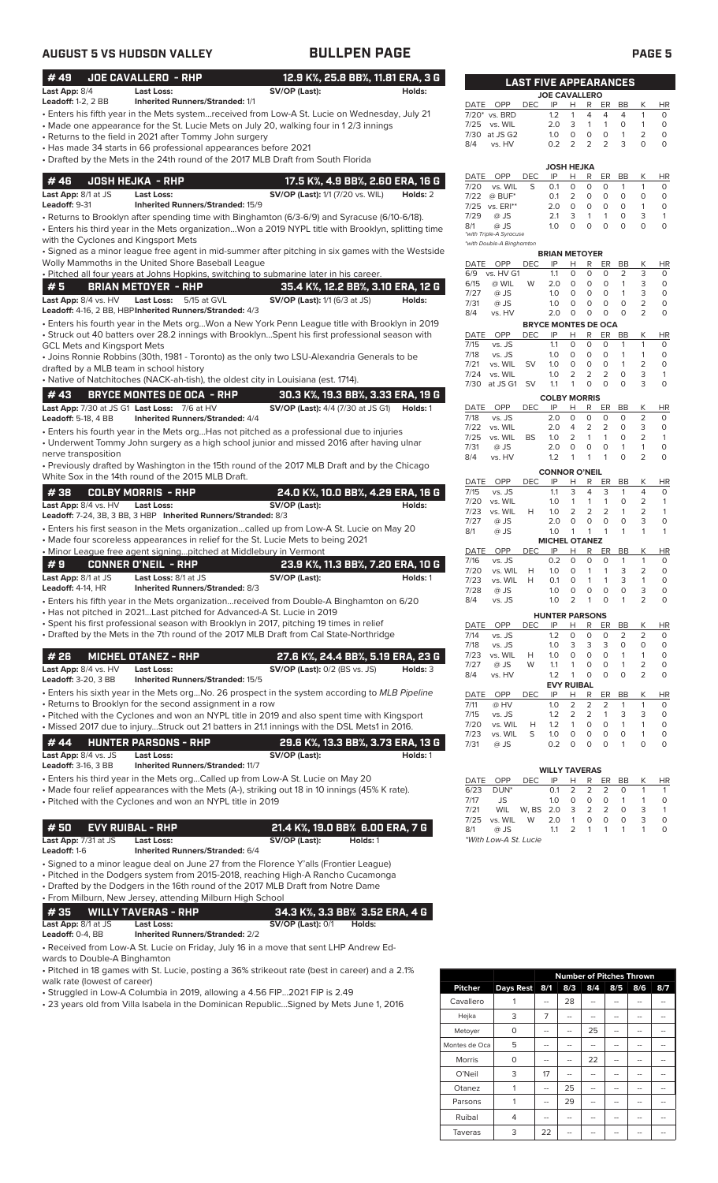| #49<br>12.9 K%, 25.8 BB%, 11.81 ERA, 3 G<br>JOE CAVALLERO - RHP<br><b>LAST FIVE APPEARANCES</b><br>SV/OP (Last):<br>Last App: 8/4<br><b>Last Loss:</b><br>Holds:<br><b>JOE CAVALLERO</b><br><b>Leadoff: 1-2, 2 BB</b><br><b>Inherited Runners/Stranded: 1/1</b><br>DATE OPP<br><b>DEC</b><br>IP<br>H<br>R<br>ER<br>BB<br>К<br><b>HR</b><br>· Enters his fifth year in the Mets systemreceived from Low-A St. Lucie on Wednesday, July 21<br>7/20* vs. BRD<br>$\overline{4}$<br>1.2<br>$\mathbf{1}$<br>4<br>4<br>$\mathbf{1}$<br>0<br>vs. WIL<br>3<br>$\circ$<br>$\mathbf{1}$<br>• Made one appearance for the St. Lucie Mets on July 20, walking four in 12/3 innings<br>7/25<br>2.0<br>$\mathbf{1}$<br>1<br>0<br>$\overline{2}$<br>7/30 at JS G2<br>$\circ$<br>$\mathbf{1}$<br>$\circ$<br>1.0<br>0<br>0<br>• Returns to the field in 2021 after Tommy John surgery<br>$\overline{2}$<br>2<br>3<br>0.2<br>2<br>$\circ$<br>$\Omega$<br>8/4<br>vs. HV<br>• Has made 34 starts in 66 professional appearances before 2021<br>• Drafted by the Mets in the 24th round of the 2017 MLB Draft from South Florida<br><b>JOSH HEJKA</b><br>R<br>OPP<br>DEC<br>IP<br>н<br>ER<br>BB<br>К<br>DATE<br>#46<br><b>JOSH HEJKA - RHP</b><br>17.5 K%, 4.9 BB%, 2.60 ERA, 16 G<br>$\mathbf 0$<br>7/20<br>vs. WIL<br>S<br>0.1<br>0<br>0<br>$\mathbf{1}$<br>1<br>0<br><b>SV/OP (Last):</b> 1/1 (7/20 vs. WIL)<br>Last App: 8/1 at JS<br>Holds: 2<br><b>Last Loss:</b><br>$@$ BUF*<br>$\overline{2}$<br>$\circ$<br>$\mathbf 0$<br>$\circ$<br>7/22<br>0.1<br>0<br>0<br>Leadoff: 9-31<br><b>Inherited Runners/Stranded: 15/9</b><br>7/25 vs. ERI**<br>$\circ$<br>$\circ$<br>$\circ$<br>$\overline{1}$<br>2.0<br>0<br>0<br>7/29<br>$\circ$<br>3<br>@ JS<br>2.1<br>3<br>$\mathbf{1}$<br>$\mathbf{1}$<br>$\mathbf{1}$<br>• Returns to Brooklyn after spending time with Binghamton (6/3-6/9) and Syracuse (6/10-6/18).<br>$\circ$<br>$\mathbf 0$<br>$\Omega$<br>$\circ$<br>$\circ$<br>$\circ$<br>8/1<br>@ JS<br>1.0<br>. Enters his third year in the Mets organizationWon a 2019 NYPL title with Brooklyn, splitting time<br>*with Triple-A Syracuse<br>with the Cyclones and Kingsport Mets<br>*with Double-A Binghamton<br>· Signed as a minor league free agent in mid-summer after pitching in six games with the Westside<br><b>BRIAN METOYER</b><br>Wolly Mammoths in the United Shore Baseball League<br>DATE OPP<br><b>DEC</b><br>IP<br>Н<br>R<br>BB<br>К<br>HR<br>ER<br>3<br>. Pitched all four years at Johns Hopkins, switching to submarine later in his career.<br>0<br>0<br>0<br>2<br>6/9<br>vs. HV G1<br>1.1<br>$\circ$<br>$\circ$<br>$\mathbf{1}$<br>3<br>6/15<br>@ WIL<br>W<br>2.0<br>0<br>0<br>#5<br><b>BRIAN METOYER - RHP</b><br>35.4 K%, 12.2 BB%, 3.10 ERA, 12 G<br>@ JS<br>$\circ$<br>$\circ$<br>$\circ$<br>$\mathbf{1}$<br>3<br>$\circ$<br>7/27<br>1.0<br>SV/OP (Last): 1/1 (6/3 at JS)<br>Last Loss: 5/15 at GVL<br>Last App: 8/4 vs. HV<br>Holds:<br>$\overline{2}$<br>7/31<br>$\circ$<br>$\circ$<br>$\circ$<br>$\circ$<br>$\circ$<br>@ JS<br>1.0<br>Leadoff: 4-16, 2 BB, HBP Inherited Runners/Stranded: 4/3<br>2<br>2.0<br>0<br>$\circ$<br>$\circ$<br>8/4<br>vs. HV<br>0<br>0<br>· Enters his fourth year in the Mets orgWon a New York Penn League title with Brooklyn in 2019<br><b>BRYCE MONTES DE OCA</b><br>• Struck out 40 batters over 28.2 innings with BrooklynSpent his first professional season with<br>DATE OPP<br>IP<br>R<br><b>DEC</b><br>H<br>ER<br>BB<br>К<br>$\mathbf 0$<br>$\circ$<br>$\mathbf{1}$<br>$\circ$<br>7/15<br>vs. JS<br>1.1<br>0<br>$\mathbf{1}$<br><b>GCL Mets and Kingsport Mets</b><br>7/18<br>vs. JS<br>1.0<br>0<br>0<br>0<br>$\mathbf{1}$<br>$\mathbf{1}$<br>0<br>• Joins Ronnie Robbins (30th, 1981 - Toronto) as the only two LSU-Alexandria Generals to be<br>$\overline{2}$<br>7/21<br>vs. WIL<br><b>SV</b><br>$\circ$<br>$\circ$<br>$\circ$<br>$\mathbf{1}$<br>1.0<br>0<br>drafted by a MLB team in school history<br>2<br>2<br>$\overline{2}$<br>$\circ$<br>3<br>7/24<br>vs. WIL<br>1.0<br>$\mathbf{1}$<br>• Native of Natchitoches (NACK-ah-tish), the oldest city in Louisiana (est. 1714).<br>3<br>$\circ$<br>$\circ$<br>$\circ$<br>$\circ$<br>7/30 at JS G1 SV<br>1.1<br>$\mathbf{1}$<br>#43<br><b>BRYCE MONTES DE OCA - RHP</b><br>30.3 K%, 19.3 BB%, 3.33 ERA, 19 G<br><b>COLBY MORRIS</b><br>Last App: 7/30 at JS G1 Last Loss: 7/6 at HV<br><b>SV/OP (Last):</b> 4/4 (7/30 at JS G1)<br>Holds: 1<br>OPP<br>IP<br>DATE<br><b>DEC</b><br>н<br>R<br>ER<br>BB<br>Κ<br><b>HR</b><br>$\overline{2}$<br>2.0<br>$\mathbf 0$<br>$\circ$<br>$\circ$<br>$\circ$<br>7/18<br>vs. JS<br>$\circ$<br><b>Inherited Runners/Stranded: 4/4</b><br><b>Leadoff: 5-18, 4 BB</b><br>3<br>7/22<br>vs. WIL<br>2.0<br>4<br>2<br>2<br>0<br>0<br>• Enters his fourth year in the Mets orgHas not pitched as a professional due to injuries<br>$\overline{2}$<br>$\overline{2}$<br>$\mathbf{1}$<br>7/25<br>vs. WIL<br><b>BS</b><br>1.0<br>$\mathbf{1}$<br>$\mathbf{1}$<br>0<br>• Underwent Tommy John surgery as a high school junior and missed 2016 after having ulnar<br>0<br>$\circ$<br>$\mathbf{1}$<br>$\mathbf{1}$<br>$\circ$<br>7/31<br>@ JS<br>2.0<br>0<br>nerve transposition<br>$\overline{2}$<br>$\circ$<br>$\Omega$<br>8/4<br>vs. HV<br>1.2<br>$\mathbf{1}$<br>1<br>1<br>• Previously drafted by Washington in the 15th round of the 2017 MLB Draft and by the Chicago<br><b>CONNOR O'NEIL</b><br>White Sox in the 14th round of the 2015 MLB Draft.<br>IP<br>ER | <b>AUGUST 5 VS HUDSON VALLEY</b> | <b>BULLPEN PAGE</b> |             |            |   |   |    | <b>PAGE 5</b> |              |
|-----------------------------------------------------------------------------------------------------------------------------------------------------------------------------------------------------------------------------------------------------------------------------------------------------------------------------------------------------------------------------------------------------------------------------------------------------------------------------------------------------------------------------------------------------------------------------------------------------------------------------------------------------------------------------------------------------------------------------------------------------------------------------------------------------------------------------------------------------------------------------------------------------------------------------------------------------------------------------------------------------------------------------------------------------------------------------------------------------------------------------------------------------------------------------------------------------------------------------------------------------------------------------------------------------------------------------------------------------------------------------------------------------------------------------------------------------------------------------------------------------------------------------------------------------------------------------------------------------------------------------------------------------------------------------------------------------------------------------------------------------------------------------------------------------------------------------------------------------------------------------------------------------------------------------------------------------------------------------------------------------------------------------------------------------------------------------------------------------------------------------------------------------------------------------------------------------------------------------------------------------------------------------------------------------------------------------------------------------------------------------------------------------------------------------------------------------------------------------------------------------------------------------------------------------------------------------------------------------------------------------------------------------------------------------------------------------------------------------------------------------------------------------------------------------------------------------------------------------------------------------------------------------------------------------------------------------------------------------------------------------------------------------------------------------------------------------------------------------------------------------------------------------------------------------------------------------------------------------------------------------------------------------------------------------------------------------------------------------------------------------------------------------------------------------------------------------------------------------------------------------------------------------------------------------------------------------------------------------------------------------------------------------------------------------------------------------------------------------------------------------------------------------------------------------------------------------------------------------------------------------------------------------------------------------------------------------------------------------------------------------------------------------------------------------------------------------------------------------------------------------------------------------------------------------------------------------------------------------------------------------------------------------------------------------------------------------------------------------------------------------------------------------------------------------------------------------------------------------------------------------------------------------------------------------------------------------------------------------------------------------------------------------------------------------------------------------------------------------------------------------------------------------------------------------------------------------------------------------------------------------------------------------------------------------------------------------------------------------------------------------------------------------------------------------------------------------------------------------------------------------------------------------------------------------------------------------------------------------------------------------------------------------------------------------------------------------------------------------------------------------------------------------------------------------------------------------------------------------------------------------|----------------------------------|---------------------|-------------|------------|---|---|----|---------------|--------------|
|                                                                                                                                                                                                                                                                                                                                                                                                                                                                                                                                                                                                                                                                                                                                                                                                                                                                                                                                                                                                                                                                                                                                                                                                                                                                                                                                                                                                                                                                                                                                                                                                                                                                                                                                                                                                                                                                                                                                                                                                                                                                                                                                                                                                                                                                                                                                                                                                                                                                                                                                                                                                                                                                                                                                                                                                                                                                                                                                                                                                                                                                                                                                                                                                                                                                                                                                                                                                                                                                                                                                                                                                                                                                                                                                                                                                                                                                                                                                                                                                                                                                                                                                                                                                                                                                                                                                                                                                                                                                                                                                                                                                                                                                                                                                                                                                                                                                                                                                                                                                                                                                                                                                                                                                                                                                                                                                                                                                                                                                                                     |                                  |                     |             |            |   |   |    |               |              |
|                                                                                                                                                                                                                                                                                                                                                                                                                                                                                                                                                                                                                                                                                                                                                                                                                                                                                                                                                                                                                                                                                                                                                                                                                                                                                                                                                                                                                                                                                                                                                                                                                                                                                                                                                                                                                                                                                                                                                                                                                                                                                                                                                                                                                                                                                                                                                                                                                                                                                                                                                                                                                                                                                                                                                                                                                                                                                                                                                                                                                                                                                                                                                                                                                                                                                                                                                                                                                                                                                                                                                                                                                                                                                                                                                                                                                                                                                                                                                                                                                                                                                                                                                                                                                                                                                                                                                                                                                                                                                                                                                                                                                                                                                                                                                                                                                                                                                                                                                                                                                                                                                                                                                                                                                                                                                                                                                                                                                                                                                                     |                                  |                     |             |            |   |   |    |               |              |
|                                                                                                                                                                                                                                                                                                                                                                                                                                                                                                                                                                                                                                                                                                                                                                                                                                                                                                                                                                                                                                                                                                                                                                                                                                                                                                                                                                                                                                                                                                                                                                                                                                                                                                                                                                                                                                                                                                                                                                                                                                                                                                                                                                                                                                                                                                                                                                                                                                                                                                                                                                                                                                                                                                                                                                                                                                                                                                                                                                                                                                                                                                                                                                                                                                                                                                                                                                                                                                                                                                                                                                                                                                                                                                                                                                                                                                                                                                                                                                                                                                                                                                                                                                                                                                                                                                                                                                                                                                                                                                                                                                                                                                                                                                                                                                                                                                                                                                                                                                                                                                                                                                                                                                                                                                                                                                                                                                                                                                                                                                     |                                  |                     |             |            |   |   |    |               |              |
|                                                                                                                                                                                                                                                                                                                                                                                                                                                                                                                                                                                                                                                                                                                                                                                                                                                                                                                                                                                                                                                                                                                                                                                                                                                                                                                                                                                                                                                                                                                                                                                                                                                                                                                                                                                                                                                                                                                                                                                                                                                                                                                                                                                                                                                                                                                                                                                                                                                                                                                                                                                                                                                                                                                                                                                                                                                                                                                                                                                                                                                                                                                                                                                                                                                                                                                                                                                                                                                                                                                                                                                                                                                                                                                                                                                                                                                                                                                                                                                                                                                                                                                                                                                                                                                                                                                                                                                                                                                                                                                                                                                                                                                                                                                                                                                                                                                                                                                                                                                                                                                                                                                                                                                                                                                                                                                                                                                                                                                                                                     |                                  |                     |             |            |   |   |    |               | HR           |
|                                                                                                                                                                                                                                                                                                                                                                                                                                                                                                                                                                                                                                                                                                                                                                                                                                                                                                                                                                                                                                                                                                                                                                                                                                                                                                                                                                                                                                                                                                                                                                                                                                                                                                                                                                                                                                                                                                                                                                                                                                                                                                                                                                                                                                                                                                                                                                                                                                                                                                                                                                                                                                                                                                                                                                                                                                                                                                                                                                                                                                                                                                                                                                                                                                                                                                                                                                                                                                                                                                                                                                                                                                                                                                                                                                                                                                                                                                                                                                                                                                                                                                                                                                                                                                                                                                                                                                                                                                                                                                                                                                                                                                                                                                                                                                                                                                                                                                                                                                                                                                                                                                                                                                                                                                                                                                                                                                                                                                                                                                     |                                  |                     |             |            |   |   |    |               |              |
|                                                                                                                                                                                                                                                                                                                                                                                                                                                                                                                                                                                                                                                                                                                                                                                                                                                                                                                                                                                                                                                                                                                                                                                                                                                                                                                                                                                                                                                                                                                                                                                                                                                                                                                                                                                                                                                                                                                                                                                                                                                                                                                                                                                                                                                                                                                                                                                                                                                                                                                                                                                                                                                                                                                                                                                                                                                                                                                                                                                                                                                                                                                                                                                                                                                                                                                                                                                                                                                                                                                                                                                                                                                                                                                                                                                                                                                                                                                                                                                                                                                                                                                                                                                                                                                                                                                                                                                                                                                                                                                                                                                                                                                                                                                                                                                                                                                                                                                                                                                                                                                                                                                                                                                                                                                                                                                                                                                                                                                                                                     |                                  |                     |             |            |   |   |    |               |              |
|                                                                                                                                                                                                                                                                                                                                                                                                                                                                                                                                                                                                                                                                                                                                                                                                                                                                                                                                                                                                                                                                                                                                                                                                                                                                                                                                                                                                                                                                                                                                                                                                                                                                                                                                                                                                                                                                                                                                                                                                                                                                                                                                                                                                                                                                                                                                                                                                                                                                                                                                                                                                                                                                                                                                                                                                                                                                                                                                                                                                                                                                                                                                                                                                                                                                                                                                                                                                                                                                                                                                                                                                                                                                                                                                                                                                                                                                                                                                                                                                                                                                                                                                                                                                                                                                                                                                                                                                                                                                                                                                                                                                                                                                                                                                                                                                                                                                                                                                                                                                                                                                                                                                                                                                                                                                                                                                                                                                                                                                                                     |                                  |                     |             |            |   |   |    |               |              |
|                                                                                                                                                                                                                                                                                                                                                                                                                                                                                                                                                                                                                                                                                                                                                                                                                                                                                                                                                                                                                                                                                                                                                                                                                                                                                                                                                                                                                                                                                                                                                                                                                                                                                                                                                                                                                                                                                                                                                                                                                                                                                                                                                                                                                                                                                                                                                                                                                                                                                                                                                                                                                                                                                                                                                                                                                                                                                                                                                                                                                                                                                                                                                                                                                                                                                                                                                                                                                                                                                                                                                                                                                                                                                                                                                                                                                                                                                                                                                                                                                                                                                                                                                                                                                                                                                                                                                                                                                                                                                                                                                                                                                                                                                                                                                                                                                                                                                                                                                                                                                                                                                                                                                                                                                                                                                                                                                                                                                                                                                                     |                                  |                     |             |            |   |   |    |               |              |
|                                                                                                                                                                                                                                                                                                                                                                                                                                                                                                                                                                                                                                                                                                                                                                                                                                                                                                                                                                                                                                                                                                                                                                                                                                                                                                                                                                                                                                                                                                                                                                                                                                                                                                                                                                                                                                                                                                                                                                                                                                                                                                                                                                                                                                                                                                                                                                                                                                                                                                                                                                                                                                                                                                                                                                                                                                                                                                                                                                                                                                                                                                                                                                                                                                                                                                                                                                                                                                                                                                                                                                                                                                                                                                                                                                                                                                                                                                                                                                                                                                                                                                                                                                                                                                                                                                                                                                                                                                                                                                                                                                                                                                                                                                                                                                                                                                                                                                                                                                                                                                                                                                                                                                                                                                                                                                                                                                                                                                                                                                     |                                  |                     |             |            |   |   |    |               | 0            |
|                                                                                                                                                                                                                                                                                                                                                                                                                                                                                                                                                                                                                                                                                                                                                                                                                                                                                                                                                                                                                                                                                                                                                                                                                                                                                                                                                                                                                                                                                                                                                                                                                                                                                                                                                                                                                                                                                                                                                                                                                                                                                                                                                                                                                                                                                                                                                                                                                                                                                                                                                                                                                                                                                                                                                                                                                                                                                                                                                                                                                                                                                                                                                                                                                                                                                                                                                                                                                                                                                                                                                                                                                                                                                                                                                                                                                                                                                                                                                                                                                                                                                                                                                                                                                                                                                                                                                                                                                                                                                                                                                                                                                                                                                                                                                                                                                                                                                                                                                                                                                                                                                                                                                                                                                                                                                                                                                                                                                                                                                                     |                                  |                     |             |            |   |   |    |               |              |
|                                                                                                                                                                                                                                                                                                                                                                                                                                                                                                                                                                                                                                                                                                                                                                                                                                                                                                                                                                                                                                                                                                                                                                                                                                                                                                                                                                                                                                                                                                                                                                                                                                                                                                                                                                                                                                                                                                                                                                                                                                                                                                                                                                                                                                                                                                                                                                                                                                                                                                                                                                                                                                                                                                                                                                                                                                                                                                                                                                                                                                                                                                                                                                                                                                                                                                                                                                                                                                                                                                                                                                                                                                                                                                                                                                                                                                                                                                                                                                                                                                                                                                                                                                                                                                                                                                                                                                                                                                                                                                                                                                                                                                                                                                                                                                                                                                                                                                                                                                                                                                                                                                                                                                                                                                                                                                                                                                                                                                                                                                     |                                  |                     |             |            |   |   |    |               |              |
|                                                                                                                                                                                                                                                                                                                                                                                                                                                                                                                                                                                                                                                                                                                                                                                                                                                                                                                                                                                                                                                                                                                                                                                                                                                                                                                                                                                                                                                                                                                                                                                                                                                                                                                                                                                                                                                                                                                                                                                                                                                                                                                                                                                                                                                                                                                                                                                                                                                                                                                                                                                                                                                                                                                                                                                                                                                                                                                                                                                                                                                                                                                                                                                                                                                                                                                                                                                                                                                                                                                                                                                                                                                                                                                                                                                                                                                                                                                                                                                                                                                                                                                                                                                                                                                                                                                                                                                                                                                                                                                                                                                                                                                                                                                                                                                                                                                                                                                                                                                                                                                                                                                                                                                                                                                                                                                                                                                                                                                                                                     |                                  |                     |             |            |   |   |    |               |              |
|                                                                                                                                                                                                                                                                                                                                                                                                                                                                                                                                                                                                                                                                                                                                                                                                                                                                                                                                                                                                                                                                                                                                                                                                                                                                                                                                                                                                                                                                                                                                                                                                                                                                                                                                                                                                                                                                                                                                                                                                                                                                                                                                                                                                                                                                                                                                                                                                                                                                                                                                                                                                                                                                                                                                                                                                                                                                                                                                                                                                                                                                                                                                                                                                                                                                                                                                                                                                                                                                                                                                                                                                                                                                                                                                                                                                                                                                                                                                                                                                                                                                                                                                                                                                                                                                                                                                                                                                                                                                                                                                                                                                                                                                                                                                                                                                                                                                                                                                                                                                                                                                                                                                                                                                                                                                                                                                                                                                                                                                                                     |                                  |                     |             |            |   |   |    |               | HR           |
|                                                                                                                                                                                                                                                                                                                                                                                                                                                                                                                                                                                                                                                                                                                                                                                                                                                                                                                                                                                                                                                                                                                                                                                                                                                                                                                                                                                                                                                                                                                                                                                                                                                                                                                                                                                                                                                                                                                                                                                                                                                                                                                                                                                                                                                                                                                                                                                                                                                                                                                                                                                                                                                                                                                                                                                                                                                                                                                                                                                                                                                                                                                                                                                                                                                                                                                                                                                                                                                                                                                                                                                                                                                                                                                                                                                                                                                                                                                                                                                                                                                                                                                                                                                                                                                                                                                                                                                                                                                                                                                                                                                                                                                                                                                                                                                                                                                                                                                                                                                                                                                                                                                                                                                                                                                                                                                                                                                                                                                                                                     |                                  |                     |             |            |   |   |    |               |              |
|                                                                                                                                                                                                                                                                                                                                                                                                                                                                                                                                                                                                                                                                                                                                                                                                                                                                                                                                                                                                                                                                                                                                                                                                                                                                                                                                                                                                                                                                                                                                                                                                                                                                                                                                                                                                                                                                                                                                                                                                                                                                                                                                                                                                                                                                                                                                                                                                                                                                                                                                                                                                                                                                                                                                                                                                                                                                                                                                                                                                                                                                                                                                                                                                                                                                                                                                                                                                                                                                                                                                                                                                                                                                                                                                                                                                                                                                                                                                                                                                                                                                                                                                                                                                                                                                                                                                                                                                                                                                                                                                                                                                                                                                                                                                                                                                                                                                                                                                                                                                                                                                                                                                                                                                                                                                                                                                                                                                                                                                                                     |                                  |                     |             |            |   |   |    |               |              |
|                                                                                                                                                                                                                                                                                                                                                                                                                                                                                                                                                                                                                                                                                                                                                                                                                                                                                                                                                                                                                                                                                                                                                                                                                                                                                                                                                                                                                                                                                                                                                                                                                                                                                                                                                                                                                                                                                                                                                                                                                                                                                                                                                                                                                                                                                                                                                                                                                                                                                                                                                                                                                                                                                                                                                                                                                                                                                                                                                                                                                                                                                                                                                                                                                                                                                                                                                                                                                                                                                                                                                                                                                                                                                                                                                                                                                                                                                                                                                                                                                                                                                                                                                                                                                                                                                                                                                                                                                                                                                                                                                                                                                                                                                                                                                                                                                                                                                                                                                                                                                                                                                                                                                                                                                                                                                                                                                                                                                                                                                                     |                                  |                     |             |            |   |   |    |               |              |
|                                                                                                                                                                                                                                                                                                                                                                                                                                                                                                                                                                                                                                                                                                                                                                                                                                                                                                                                                                                                                                                                                                                                                                                                                                                                                                                                                                                                                                                                                                                                                                                                                                                                                                                                                                                                                                                                                                                                                                                                                                                                                                                                                                                                                                                                                                                                                                                                                                                                                                                                                                                                                                                                                                                                                                                                                                                                                                                                                                                                                                                                                                                                                                                                                                                                                                                                                                                                                                                                                                                                                                                                                                                                                                                                                                                                                                                                                                                                                                                                                                                                                                                                                                                                                                                                                                                                                                                                                                                                                                                                                                                                                                                                                                                                                                                                                                                                                                                                                                                                                                                                                                                                                                                                                                                                                                                                                                                                                                                                                                     |                                  |                     |             |            |   |   |    |               |              |
|                                                                                                                                                                                                                                                                                                                                                                                                                                                                                                                                                                                                                                                                                                                                                                                                                                                                                                                                                                                                                                                                                                                                                                                                                                                                                                                                                                                                                                                                                                                                                                                                                                                                                                                                                                                                                                                                                                                                                                                                                                                                                                                                                                                                                                                                                                                                                                                                                                                                                                                                                                                                                                                                                                                                                                                                                                                                                                                                                                                                                                                                                                                                                                                                                                                                                                                                                                                                                                                                                                                                                                                                                                                                                                                                                                                                                                                                                                                                                                                                                                                                                                                                                                                                                                                                                                                                                                                                                                                                                                                                                                                                                                                                                                                                                                                                                                                                                                                                                                                                                                                                                                                                                                                                                                                                                                                                                                                                                                                                                                     |                                  |                     |             |            |   |   |    |               |              |
|                                                                                                                                                                                                                                                                                                                                                                                                                                                                                                                                                                                                                                                                                                                                                                                                                                                                                                                                                                                                                                                                                                                                                                                                                                                                                                                                                                                                                                                                                                                                                                                                                                                                                                                                                                                                                                                                                                                                                                                                                                                                                                                                                                                                                                                                                                                                                                                                                                                                                                                                                                                                                                                                                                                                                                                                                                                                                                                                                                                                                                                                                                                                                                                                                                                                                                                                                                                                                                                                                                                                                                                                                                                                                                                                                                                                                                                                                                                                                                                                                                                                                                                                                                                                                                                                                                                                                                                                                                                                                                                                                                                                                                                                                                                                                                                                                                                                                                                                                                                                                                                                                                                                                                                                                                                                                                                                                                                                                                                                                                     |                                  |                     |             |            |   |   |    |               |              |
|                                                                                                                                                                                                                                                                                                                                                                                                                                                                                                                                                                                                                                                                                                                                                                                                                                                                                                                                                                                                                                                                                                                                                                                                                                                                                                                                                                                                                                                                                                                                                                                                                                                                                                                                                                                                                                                                                                                                                                                                                                                                                                                                                                                                                                                                                                                                                                                                                                                                                                                                                                                                                                                                                                                                                                                                                                                                                                                                                                                                                                                                                                                                                                                                                                                                                                                                                                                                                                                                                                                                                                                                                                                                                                                                                                                                                                                                                                                                                                                                                                                                                                                                                                                                                                                                                                                                                                                                                                                                                                                                                                                                                                                                                                                                                                                                                                                                                                                                                                                                                                                                                                                                                                                                                                                                                                                                                                                                                                                                                                     |                                  |                     |             |            |   |   |    |               |              |
|                                                                                                                                                                                                                                                                                                                                                                                                                                                                                                                                                                                                                                                                                                                                                                                                                                                                                                                                                                                                                                                                                                                                                                                                                                                                                                                                                                                                                                                                                                                                                                                                                                                                                                                                                                                                                                                                                                                                                                                                                                                                                                                                                                                                                                                                                                                                                                                                                                                                                                                                                                                                                                                                                                                                                                                                                                                                                                                                                                                                                                                                                                                                                                                                                                                                                                                                                                                                                                                                                                                                                                                                                                                                                                                                                                                                                                                                                                                                                                                                                                                                                                                                                                                                                                                                                                                                                                                                                                                                                                                                                                                                                                                                                                                                                                                                                                                                                                                                                                                                                                                                                                                                                                                                                                                                                                                                                                                                                                                                                                     |                                  |                     |             |            |   |   |    |               |              |
|                                                                                                                                                                                                                                                                                                                                                                                                                                                                                                                                                                                                                                                                                                                                                                                                                                                                                                                                                                                                                                                                                                                                                                                                                                                                                                                                                                                                                                                                                                                                                                                                                                                                                                                                                                                                                                                                                                                                                                                                                                                                                                                                                                                                                                                                                                                                                                                                                                                                                                                                                                                                                                                                                                                                                                                                                                                                                                                                                                                                                                                                                                                                                                                                                                                                                                                                                                                                                                                                                                                                                                                                                                                                                                                                                                                                                                                                                                                                                                                                                                                                                                                                                                                                                                                                                                                                                                                                                                                                                                                                                                                                                                                                                                                                                                                                                                                                                                                                                                                                                                                                                                                                                                                                                                                                                                                                                                                                                                                                                                     |                                  |                     | DATE<br>OPP | <b>DEC</b> | Н | R | BB | Κ             | HR           |
| #38<br>24.0 K%, 10.0 BB%, 4.29 ERA, 16 G<br>$\overline{4}$<br><b>COLBY MORRIS - RHP</b><br>7/15<br>3<br>3<br>$\mathbf{1}$<br>vs. JS<br>1.1<br>4<br>2<br>7/20<br>vs. WIL<br>1.0<br>$\mathbf{1}$<br>1<br>$\mathbf{1}$<br>0<br>$\mathbf{1}$                                                                                                                                                                                                                                                                                                                                                                                                                                                                                                                                                                                                                                                                                                                                                                                                                                                                                                                                                                                                                                                                                                                                                                                                                                                                                                                                                                                                                                                                                                                                                                                                                                                                                                                                                                                                                                                                                                                                                                                                                                                                                                                                                                                                                                                                                                                                                                                                                                                                                                                                                                                                                                                                                                                                                                                                                                                                                                                                                                                                                                                                                                                                                                                                                                                                                                                                                                                                                                                                                                                                                                                                                                                                                                                                                                                                                                                                                                                                                                                                                                                                                                                                                                                                                                                                                                                                                                                                                                                                                                                                                                                                                                                                                                                                                                                                                                                                                                                                                                                                                                                                                                                                                                                                                                                            |                                  |                     |             |            |   |   |    |               | 0            |
| Last App: 8/4 vs. HV<br><b>Last Loss:</b><br>SV/OP (Last):<br>Holds:<br>$\overline{2}$<br>$\overline{2}$<br>$\overline{2}$<br>1.0<br>$\overline{2}$<br>$\mathbf{1}$<br>7/23<br>vs. WIL<br>H<br>$\mathbf{1}$<br>Leadoff: 7-24, 3B, 3 BB, 3 HBP Inherited Runners/Stranded: 8/3                                                                                                                                                                                                                                                                                                                                                                                                                                                                                                                                                                                                                                                                                                                                                                                                                                                                                                                                                                                                                                                                                                                                                                                                                                                                                                                                                                                                                                                                                                                                                                                                                                                                                                                                                                                                                                                                                                                                                                                                                                                                                                                                                                                                                                                                                                                                                                                                                                                                                                                                                                                                                                                                                                                                                                                                                                                                                                                                                                                                                                                                                                                                                                                                                                                                                                                                                                                                                                                                                                                                                                                                                                                                                                                                                                                                                                                                                                                                                                                                                                                                                                                                                                                                                                                                                                                                                                                                                                                                                                                                                                                                                                                                                                                                                                                                                                                                                                                                                                                                                                                                                                                                                                                                                       |                                  |                     |             |            |   |   |    |               |              |
| 7/27<br>$\circ$<br>0<br>0<br>$\circ$<br>3<br>$\circ$<br>@ JS<br>2.0<br>• Enters his first season in the Mets organizationcalled up from Low-A St. Lucie on May 20<br>$\mathbf{1}$<br>8/1<br>@ JS<br>1.0<br>$\mathbf{1}$<br>$\mathbf{1}$<br>$\mathbf{1}$<br>$\mathbf{1}$<br>$\mathbf{1}$<br>• Made four scoreless appearances in relief for the St. Lucie Mets to being 2021<br><b>MICHEL OTANEZ</b><br>IP<br>DATE OPP<br><b>DEC</b><br>Н<br>R<br>ER<br>BB<br>Κ                                                                                                                                                                                                                                                                                                                                                                                                                                                                                                                                                                                                                                                                                                                                                                                                                                                                                                                                                                                                                                                                                                                                                                                                                                                                                                                                                                                                                                                                                                                                                                                                                                                                                                                                                                                                                                                                                                                                                                                                                                                                                                                                                                                                                                                                                                                                                                                                                                                                                                                                                                                                                                                                                                                                                                                                                                                                                                                                                                                                                                                                                                                                                                                                                                                                                                                                                                                                                                                                                                                                                                                                                                                                                                                                                                                                                                                                                                                                                                                                                                                                                                                                                                                                                                                                                                                                                                                                                                                                                                                                                                                                                                                                                                                                                                                                                                                                                                                                                                                                                                      |                                  |                     |             |            |   |   |    |               | HR           |
| • Minor League free agent signingpitched at Middlebury in Vermont<br>0.2<br>$\circ$<br>$\circ$<br>$\circ$<br>$\mathbf{1}$<br>$\mathbf{1}$<br>7/16<br>vs. JS<br>#9<br><b>CONNER O'NEIL - RHP</b><br>23.9 K%, 11.3 BB%, 7.20 ERA, 10 G                                                                                                                                                                                                                                                                                                                                                                                                                                                                                                                                                                                                                                                                                                                                                                                                                                                                                                                                                                                                                                                                                                                                                                                                                                                                                                                                                                                                                                                                                                                                                                                                                                                                                                                                                                                                                                                                                                                                                                                                                                                                                                                                                                                                                                                                                                                                                                                                                                                                                                                                                                                                                                                                                                                                                                                                                                                                                                                                                                                                                                                                                                                                                                                                                                                                                                                                                                                                                                                                                                                                                                                                                                                                                                                                                                                                                                                                                                                                                                                                                                                                                                                                                                                                                                                                                                                                                                                                                                                                                                                                                                                                                                                                                                                                                                                                                                                                                                                                                                                                                                                                                                                                                                                                                                                                |                                  |                     |             |            |   |   |    |               | 0            |
| 7/20 vs. WIL<br>H<br>1.0<br>$\Omega$<br>$\mathbf{1}$<br>$\overline{1}$<br>3<br>2<br>Last App: 8/1 at JS<br>Last Loss: 8/1 at JS<br>SV/OP (Last):<br>Holds: 1<br>3<br>7/23<br>vs. WIL<br>H<br>0.1<br>0<br>1<br>1<br>1                                                                                                                                                                                                                                                                                                                                                                                                                                                                                                                                                                                                                                                                                                                                                                                                                                                                                                                                                                                                                                                                                                                                                                                                                                                                                                                                                                                                                                                                                                                                                                                                                                                                                                                                                                                                                                                                                                                                                                                                                                                                                                                                                                                                                                                                                                                                                                                                                                                                                                                                                                                                                                                                                                                                                                                                                                                                                                                                                                                                                                                                                                                                                                                                                                                                                                                                                                                                                                                                                                                                                                                                                                                                                                                                                                                                                                                                                                                                                                                                                                                                                                                                                                                                                                                                                                                                                                                                                                                                                                                                                                                                                                                                                                                                                                                                                                                                                                                                                                                                                                                                                                                                                                                                                                                                                |                                  |                     |             |            |   |   |    |               | $\circ$<br>0 |
| <b>Leadoff: 4-14, HR</b><br>Inherited Runners/Stranded: 8/3<br>0<br>0<br>0<br>3<br>7/28<br>@ JS<br>1.0<br>0<br>0                                                                                                                                                                                                                                                                                                                                                                                                                                                                                                                                                                                                                                                                                                                                                                                                                                                                                                                                                                                                                                                                                                                                                                                                                                                                                                                                                                                                                                                                                                                                                                                                                                                                                                                                                                                                                                                                                                                                                                                                                                                                                                                                                                                                                                                                                                                                                                                                                                                                                                                                                                                                                                                                                                                                                                                                                                                                                                                                                                                                                                                                                                                                                                                                                                                                                                                                                                                                                                                                                                                                                                                                                                                                                                                                                                                                                                                                                                                                                                                                                                                                                                                                                                                                                                                                                                                                                                                                                                                                                                                                                                                                                                                                                                                                                                                                                                                                                                                                                                                                                                                                                                                                                                                                                                                                                                                                                                                    |                                  |                     |             |            |   |   |    |               |              |
| $\overline{2}$<br>0<br>2<br>8/4<br>1.0<br>$\mathbf{1}$<br>$\mathbf{1}$<br>vs. JS<br>• Enters his fifth year in the Mets organizationreceived from Double-A Binghamton on 6/20<br>• Has not pitched in 2021Last pitched for Advanced-A St. Lucie in 2019                                                                                                                                                                                                                                                                                                                                                                                                                                                                                                                                                                                                                                                                                                                                                                                                                                                                                                                                                                                                                                                                                                                                                                                                                                                                                                                                                                                                                                                                                                                                                                                                                                                                                                                                                                                                                                                                                                                                                                                                                                                                                                                                                                                                                                                                                                                                                                                                                                                                                                                                                                                                                                                                                                                                                                                                                                                                                                                                                                                                                                                                                                                                                                                                                                                                                                                                                                                                                                                                                                                                                                                                                                                                                                                                                                                                                                                                                                                                                                                                                                                                                                                                                                                                                                                                                                                                                                                                                                                                                                                                                                                                                                                                                                                                                                                                                                                                                                                                                                                                                                                                                                                                                                                                                                             |                                  |                     |             |            |   |   |    |               | 0            |
| <b>HUNTER PARSONS</b><br>• Spent his first professional season with Brooklyn in 2017, pitching 19 times in relief<br>DATE<br>OPP<br>DEC<br>IP<br>Н<br>R<br>BB<br>ER<br>К                                                                                                                                                                                                                                                                                                                                                                                                                                                                                                                                                                                                                                                                                                                                                                                                                                                                                                                                                                                                                                                                                                                                                                                                                                                                                                                                                                                                                                                                                                                                                                                                                                                                                                                                                                                                                                                                                                                                                                                                                                                                                                                                                                                                                                                                                                                                                                                                                                                                                                                                                                                                                                                                                                                                                                                                                                                                                                                                                                                                                                                                                                                                                                                                                                                                                                                                                                                                                                                                                                                                                                                                                                                                                                                                                                                                                                                                                                                                                                                                                                                                                                                                                                                                                                                                                                                                                                                                                                                                                                                                                                                                                                                                                                                                                                                                                                                                                                                                                                                                                                                                                                                                                                                                                                                                                                                            |                                  |                     |             |            |   |   |    |               | HR           |
| • Drafted by the Mets in the 7th round of the 2017 MLB Draft from Cal State-Northridge<br>2<br>7/14<br>vs. JS<br>1.2<br>0<br>0<br>0<br>2<br>0<br>3<br>3<br>$\circ$<br>7/18<br>vs. JS<br>1.0<br>3<br>0<br>0                                                                                                                                                                                                                                                                                                                                                                                                                                                                                                                                                                                                                                                                                                                                                                                                                                                                                                                                                                                                                                                                                                                                                                                                                                                                                                                                                                                                                                                                                                                                                                                                                                                                                                                                                                                                                                                                                                                                                                                                                                                                                                                                                                                                                                                                                                                                                                                                                                                                                                                                                                                                                                                                                                                                                                                                                                                                                                                                                                                                                                                                                                                                                                                                                                                                                                                                                                                                                                                                                                                                                                                                                                                                                                                                                                                                                                                                                                                                                                                                                                                                                                                                                                                                                                                                                                                                                                                                                                                                                                                                                                                                                                                                                                                                                                                                                                                                                                                                                                                                                                                                                                                                                                                                                                                                                          |                                  |                     |             |            |   |   |    |               |              |
| $\circ$<br>7/23<br>vs. WIL<br>1.0<br>0<br>0<br>1<br>1<br>0<br>#26<br><b>MICHEL OTANEZ - RHP</b><br>27.6 K%, 24.4 BB%, 5.19 ERA, 23 G<br>Н                                                                                                                                                                                                                                                                                                                                                                                                                                                                                                                                                                                                                                                                                                                                                                                                                                                                                                                                                                                                                                                                                                                                                                                                                                                                                                                                                                                                                                                                                                                                                                                                                                                                                                                                                                                                                                                                                                                                                                                                                                                                                                                                                                                                                                                                                                                                                                                                                                                                                                                                                                                                                                                                                                                                                                                                                                                                                                                                                                                                                                                                                                                                                                                                                                                                                                                                                                                                                                                                                                                                                                                                                                                                                                                                                                                                                                                                                                                                                                                                                                                                                                                                                                                                                                                                                                                                                                                                                                                                                                                                                                                                                                                                                                                                                                                                                                                                                                                                                                                                                                                                                                                                                                                                                                                                                                                                                           |                                  |                     |             |            |   |   |    |               |              |
| 2<br>7/27<br>@ JS<br>W<br>1.1<br>1<br>0<br>0<br>1<br>0<br>Last App: 8/4 vs. HV<br><b>SV/OP (Last):</b> 0/2 (BS vs. JS)<br><b>Last Loss:</b><br>Holds: 3<br>$\overline{2}$<br>$\circ$<br>$\circ$<br>8/4<br>vs. HV<br>1.2<br>0<br>0<br>1                                                                                                                                                                                                                                                                                                                                                                                                                                                                                                                                                                                                                                                                                                                                                                                                                                                                                                                                                                                                                                                                                                                                                                                                                                                                                                                                                                                                                                                                                                                                                                                                                                                                                                                                                                                                                                                                                                                                                                                                                                                                                                                                                                                                                                                                                                                                                                                                                                                                                                                                                                                                                                                                                                                                                                                                                                                                                                                                                                                                                                                                                                                                                                                                                                                                                                                                                                                                                                                                                                                                                                                                                                                                                                                                                                                                                                                                                                                                                                                                                                                                                                                                                                                                                                                                                                                                                                                                                                                                                                                                                                                                                                                                                                                                                                                                                                                                                                                                                                                                                                                                                                                                                                                                                                                              |                                  |                     |             |            |   |   |    |               |              |
| <b>Leadoff: 3-20, 3 BB</b><br>Inherited Runners/Stranded: 15/5<br><b>EVY RUIBAL</b><br>• Enters his sixth year in the Mets orgNo. 26 prospect in the system according to MLB Pipeline<br>DATE<br>OPP<br>DEC<br>IP<br>R<br>ER                                                                                                                                                                                                                                                                                                                                                                                                                                                                                                                                                                                                                                                                                                                                                                                                                                                                                                                                                                                                                                                                                                                                                                                                                                                                                                                                                                                                                                                                                                                                                                                                                                                                                                                                                                                                                                                                                                                                                                                                                                                                                                                                                                                                                                                                                                                                                                                                                                                                                                                                                                                                                                                                                                                                                                                                                                                                                                                                                                                                                                                                                                                                                                                                                                                                                                                                                                                                                                                                                                                                                                                                                                                                                                                                                                                                                                                                                                                                                                                                                                                                                                                                                                                                                                                                                                                                                                                                                                                                                                                                                                                                                                                                                                                                                                                                                                                                                                                                                                                                                                                                                                                                                                                                                                                                        |                                  |                     |             |            |   |   |    |               |              |
| Н<br>BB<br>К<br>• Returns to Brooklyn for the second assignment in a row<br>7/11<br>@ HV<br>2<br>2<br>$\overline{2}$<br>$\mathbf{1}$<br>1.0<br>$\mathbf{1}$<br>0                                                                                                                                                                                                                                                                                                                                                                                                                                                                                                                                                                                                                                                                                                                                                                                                                                                                                                                                                                                                                                                                                                                                                                                                                                                                                                                                                                                                                                                                                                                                                                                                                                                                                                                                                                                                                                                                                                                                                                                                                                                                                                                                                                                                                                                                                                                                                                                                                                                                                                                                                                                                                                                                                                                                                                                                                                                                                                                                                                                                                                                                                                                                                                                                                                                                                                                                                                                                                                                                                                                                                                                                                                                                                                                                                                                                                                                                                                                                                                                                                                                                                                                                                                                                                                                                                                                                                                                                                                                                                                                                                                                                                                                                                                                                                                                                                                                                                                                                                                                                                                                                                                                                                                                                                                                                                                                                    |                                  |                     |             |            |   |   |    |               | HR           |
| 2<br>$\overline{2}$<br>3<br>7/15<br>1.2<br>1<br>3<br>0<br>• Pitched with the Cyclones and won an NYPL title in 2019 and also spent time with Kingsport<br>vs. JS<br>$\circ$<br>7/20<br>vs. WIL<br>1.2<br>1<br>0<br>$\mathbf{1}$<br>$\mathbf{1}$<br>0<br>H<br>· Missed 2017 due to injuryStruck out 21 batters in 21.1 innings with the DSL Mets1 in 2016.                                                                                                                                                                                                                                                                                                                                                                                                                                                                                                                                                                                                                                                                                                                                                                                                                                                                                                                                                                                                                                                                                                                                                                                                                                                                                                                                                                                                                                                                                                                                                                                                                                                                                                                                                                                                                                                                                                                                                                                                                                                                                                                                                                                                                                                                                                                                                                                                                                                                                                                                                                                                                                                                                                                                                                                                                                                                                                                                                                                                                                                                                                                                                                                                                                                                                                                                                                                                                                                                                                                                                                                                                                                                                                                                                                                                                                                                                                                                                                                                                                                                                                                                                                                                                                                                                                                                                                                                                                                                                                                                                                                                                                                                                                                                                                                                                                                                                                                                                                                                                                                                                                                                           |                                  |                     |             |            |   |   |    |               |              |
| S<br>7/23<br>vs. WIL<br>1.0<br>0<br>0<br>0<br>0<br>$\mathbf{1}$<br>0<br># 44<br><b>HUNTER PARSONS - RHP</b><br>29.6 K%, 13.3 BB%, 3.73 ERA, 13 G                                                                                                                                                                                                                                                                                                                                                                                                                                                                                                                                                                                                                                                                                                                                                                                                                                                                                                                                                                                                                                                                                                                                                                                                                                                                                                                                                                                                                                                                                                                                                                                                                                                                                                                                                                                                                                                                                                                                                                                                                                                                                                                                                                                                                                                                                                                                                                                                                                                                                                                                                                                                                                                                                                                                                                                                                                                                                                                                                                                                                                                                                                                                                                                                                                                                                                                                                                                                                                                                                                                                                                                                                                                                                                                                                                                                                                                                                                                                                                                                                                                                                                                                                                                                                                                                                                                                                                                                                                                                                                                                                                                                                                                                                                                                                                                                                                                                                                                                                                                                                                                                                                                                                                                                                                                                                                                                                    |                                  |                     |             |            |   |   |    |               |              |
| 0.2<br>$\circ$<br>0<br>$\circ$<br>7/31<br>@ JS<br>0<br>1<br>0<br>Last App: 8/4 vs. JS<br><b>Last Loss:</b><br>SV/OP (Last):<br>Holds: 1                                                                                                                                                                                                                                                                                                                                                                                                                                                                                                                                                                                                                                                                                                                                                                                                                                                                                                                                                                                                                                                                                                                                                                                                                                                                                                                                                                                                                                                                                                                                                                                                                                                                                                                                                                                                                                                                                                                                                                                                                                                                                                                                                                                                                                                                                                                                                                                                                                                                                                                                                                                                                                                                                                                                                                                                                                                                                                                                                                                                                                                                                                                                                                                                                                                                                                                                                                                                                                                                                                                                                                                                                                                                                                                                                                                                                                                                                                                                                                                                                                                                                                                                                                                                                                                                                                                                                                                                                                                                                                                                                                                                                                                                                                                                                                                                                                                                                                                                                                                                                                                                                                                                                                                                                                                                                                                                                             |                                  |                     |             |            |   |   |    |               |              |
| Leadoff: 3-16, 3 BB<br><b>Inherited Runners/Stranded: 11/7</b><br><b>WILLY TAVERAS</b>                                                                                                                                                                                                                                                                                                                                                                                                                                                                                                                                                                                                                                                                                                                                                                                                                                                                                                                                                                                                                                                                                                                                                                                                                                                                                                                                                                                                                                                                                                                                                                                                                                                                                                                                                                                                                                                                                                                                                                                                                                                                                                                                                                                                                                                                                                                                                                                                                                                                                                                                                                                                                                                                                                                                                                                                                                                                                                                                                                                                                                                                                                                                                                                                                                                                                                                                                                                                                                                                                                                                                                                                                                                                                                                                                                                                                                                                                                                                                                                                                                                                                                                                                                                                                                                                                                                                                                                                                                                                                                                                                                                                                                                                                                                                                                                                                                                                                                                                                                                                                                                                                                                                                                                                                                                                                                                                                                                                              |                                  |                     |             |            |   |   |    |               |              |
| • Enters his third year in the Mets orgCalled up from Low-A St. Lucie on May 20<br>OPP<br><b>DEC</b><br>IP<br>Н<br>R<br>ER<br><b>BB</b><br>K<br>DATE<br>• Made four relief appearances with the Mets (A-), striking out 18 in 10 innings (45% K rate).<br>DUN <sup>*</sup><br>$\overline{2}$<br>2<br>2<br>6/23<br>0.1<br>0<br>1<br>1                                                                                                                                                                                                                                                                                                                                                                                                                                                                                                                                                                                                                                                                                                                                                                                                                                                                                                                                                                                                                                                                                                                                                                                                                                                                                                                                                                                                                                                                                                                                                                                                                                                                                                                                                                                                                                                                                                                                                                                                                                                                                                                                                                                                                                                                                                                                                                                                                                                                                                                                                                                                                                                                                                                                                                                                                                                                                                                                                                                                                                                                                                                                                                                                                                                                                                                                                                                                                                                                                                                                                                                                                                                                                                                                                                                                                                                                                                                                                                                                                                                                                                                                                                                                                                                                                                                                                                                                                                                                                                                                                                                                                                                                                                                                                                                                                                                                                                                                                                                                                                                                                                                                                                |                                  |                     |             |            |   |   |    |               | HR           |
| 7/17<br>JS<br>1.0<br>0<br>0<br>0<br>1<br>0<br>1<br>• Pitched with the Cyclones and won an NYPL title in 2019                                                                                                                                                                                                                                                                                                                                                                                                                                                                                                                                                                                                                                                                                                                                                                                                                                                                                                                                                                                                                                                                                                                                                                                                                                                                                                                                                                                                                                                                                                                                                                                                                                                                                                                                                                                                                                                                                                                                                                                                                                                                                                                                                                                                                                                                                                                                                                                                                                                                                                                                                                                                                                                                                                                                                                                                                                                                                                                                                                                                                                                                                                                                                                                                                                                                                                                                                                                                                                                                                                                                                                                                                                                                                                                                                                                                                                                                                                                                                                                                                                                                                                                                                                                                                                                                                                                                                                                                                                                                                                                                                                                                                                                                                                                                                                                                                                                                                                                                                                                                                                                                                                                                                                                                                                                                                                                                                                                        |                                  |                     |             |            |   |   |    |               |              |
| 2<br>2<br>3<br>7/21<br>WIL<br>W, BS<br>2.0<br>3<br>0<br>1<br>0<br>0<br>3<br>7/25<br>vs. WIL<br>W<br>2.0<br>1<br>0                                                                                                                                                                                                                                                                                                                                                                                                                                                                                                                                                                                                                                                                                                                                                                                                                                                                                                                                                                                                                                                                                                                                                                                                                                                                                                                                                                                                                                                                                                                                                                                                                                                                                                                                                                                                                                                                                                                                                                                                                                                                                                                                                                                                                                                                                                                                                                                                                                                                                                                                                                                                                                                                                                                                                                                                                                                                                                                                                                                                                                                                                                                                                                                                                                                                                                                                                                                                                                                                                                                                                                                                                                                                                                                                                                                                                                                                                                                                                                                                                                                                                                                                                                                                                                                                                                                                                                                                                                                                                                                                                                                                                                                                                                                                                                                                                                                                                                                                                                                                                                                                                                                                                                                                                                                                                                                                                                                   |                                  |                     |             |            |   |   |    |               | $\circ$      |
| #50<br>21.4 K%, 19.0 BB% 6.00 ERA, 7 G<br><b>EVY RUIBAL - RHP</b><br>$\mathbf{1}$<br>$\circ$<br>8/1<br>@ JS<br>2<br>1<br>$\mathbf{1}$<br>$\mathbf{1}$<br>1.1<br>Last App: 7/31 at JS<br>SV/OP (Last):<br><b>Last Loss:</b><br>Holds: 1<br>*With Low-A St. Lucie<br>Leadoff: 1-6<br>Inherited Runners/Stranded: 6/4                                                                                                                                                                                                                                                                                                                                                                                                                                                                                                                                                                                                                                                                                                                                                                                                                                                                                                                                                                                                                                                                                                                                                                                                                                                                                                                                                                                                                                                                                                                                                                                                                                                                                                                                                                                                                                                                                                                                                                                                                                                                                                                                                                                                                                                                                                                                                                                                                                                                                                                                                                                                                                                                                                                                                                                                                                                                                                                                                                                                                                                                                                                                                                                                                                                                                                                                                                                                                                                                                                                                                                                                                                                                                                                                                                                                                                                                                                                                                                                                                                                                                                                                                                                                                                                                                                                                                                                                                                                                                                                                                                                                                                                                                                                                                                                                                                                                                                                                                                                                                                                                                                                                                                                  |                                  |                     |             |            |   |   |    |               |              |
| • Signed to a minor league deal on June 27 from the Florence Y'alls (Frontier League)<br>• Pitched in the Dodgers system from 2015-2018, reaching High-A Rancho Cucamonga<br>• Drafted by the Dodgers in the 16th round of the 2017 MLB Draft from Notre Dame                                                                                                                                                                                                                                                                                                                                                                                                                                                                                                                                                                                                                                                                                                                                                                                                                                                                                                                                                                                                                                                                                                                                                                                                                                                                                                                                                                                                                                                                                                                                                                                                                                                                                                                                                                                                                                                                                                                                                                                                                                                                                                                                                                                                                                                                                                                                                                                                                                                                                                                                                                                                                                                                                                                                                                                                                                                                                                                                                                                                                                                                                                                                                                                                                                                                                                                                                                                                                                                                                                                                                                                                                                                                                                                                                                                                                                                                                                                                                                                                                                                                                                                                                                                                                                                                                                                                                                                                                                                                                                                                                                                                                                                                                                                                                                                                                                                                                                                                                                                                                                                                                                                                                                                                                                       |                                  |                     |             |            |   |   |    |               |              |
| • From Milburn, New Jersey, attending Milburn High School<br>#35<br>34.3 K%, 3.3 BB% 3.52 ERA, 4 G<br><b>WILLY TAVERAS - RHP</b>                                                                                                                                                                                                                                                                                                                                                                                                                                                                                                                                                                                                                                                                                                                                                                                                                                                                                                                                                                                                                                                                                                                                                                                                                                                                                                                                                                                                                                                                                                                                                                                                                                                                                                                                                                                                                                                                                                                                                                                                                                                                                                                                                                                                                                                                                                                                                                                                                                                                                                                                                                                                                                                                                                                                                                                                                                                                                                                                                                                                                                                                                                                                                                                                                                                                                                                                                                                                                                                                                                                                                                                                                                                                                                                                                                                                                                                                                                                                                                                                                                                                                                                                                                                                                                                                                                                                                                                                                                                                                                                                                                                                                                                                                                                                                                                                                                                                                                                                                                                                                                                                                                                                                                                                                                                                                                                                                                    |                                  |                     |             |            |   |   |    |               |              |
| Last App: 8/1 at JS<br><b>SV/OP (Last): 0/1</b><br>Holds:<br><b>Last Loss:</b>                                                                                                                                                                                                                                                                                                                                                                                                                                                                                                                                                                                                                                                                                                                                                                                                                                                                                                                                                                                                                                                                                                                                                                                                                                                                                                                                                                                                                                                                                                                                                                                                                                                                                                                                                                                                                                                                                                                                                                                                                                                                                                                                                                                                                                                                                                                                                                                                                                                                                                                                                                                                                                                                                                                                                                                                                                                                                                                                                                                                                                                                                                                                                                                                                                                                                                                                                                                                                                                                                                                                                                                                                                                                                                                                                                                                                                                                                                                                                                                                                                                                                                                                                                                                                                                                                                                                                                                                                                                                                                                                                                                                                                                                                                                                                                                                                                                                                                                                                                                                                                                                                                                                                                                                                                                                                                                                                                                                                      |                                  |                     |             |            |   |   |    |               |              |
| Leadoff: 0-4, BB<br><b>Inherited Runners/Stranded: 2/2</b><br>• Received from Low-A St. Lucie on Friday, July 16 in a move that sent LHP Andrew Ed-<br>wards to Double-A Binghamton                                                                                                                                                                                                                                                                                                                                                                                                                                                                                                                                                                                                                                                                                                                                                                                                                                                                                                                                                                                                                                                                                                                                                                                                                                                                                                                                                                                                                                                                                                                                                                                                                                                                                                                                                                                                                                                                                                                                                                                                                                                                                                                                                                                                                                                                                                                                                                                                                                                                                                                                                                                                                                                                                                                                                                                                                                                                                                                                                                                                                                                                                                                                                                                                                                                                                                                                                                                                                                                                                                                                                                                                                                                                                                                                                                                                                                                                                                                                                                                                                                                                                                                                                                                                                                                                                                                                                                                                                                                                                                                                                                                                                                                                                                                                                                                                                                                                                                                                                                                                                                                                                                                                                                                                                                                                                                                 |                                  |                     |             |            |   |   |    |               |              |

• Pitched in 18 games with St. Lucie, posting a 36% strikeout rate (best in career) and a 2.1% walk rate (lowest of career)

• Struggled in Low-A Columbia in 2019, allowing a 4.56 FIP...2021 FIP is 2.49

• 23 years old from Villa Isabela in the Dominican Republic...Signed by Mets June 1, 2016

|                | <b>Number of Pitches Thrown</b> |     |     |     |     |     |     |  |  |  |
|----------------|---------------------------------|-----|-----|-----|-----|-----|-----|--|--|--|
| <b>Pitcher</b> | Days Rest                       | 8/1 | 8/3 | 8/4 | 8/5 | 8/6 | 8/7 |  |  |  |
| Cavallero      |                                 |     | 28  |     |     |     |     |  |  |  |
| Hejka          | 3                               | 7   | --  | --  |     |     |     |  |  |  |
| Metoyer        | 0                               |     |     | 25  |     |     |     |  |  |  |
| Montes de Oca  | 5                               |     |     |     |     |     |     |  |  |  |
| <b>Morris</b>  | 0                               | --  | --  | 22  |     | --  |     |  |  |  |
| O'Neil         | 3                               | 17  |     |     | --  | --  |     |  |  |  |
| Otanez         | 1                               | --  | 25  | --  | --  | --  |     |  |  |  |
| Parsons        | 1                               | --  | 29  |     | --  | --  |     |  |  |  |
| Ruibal         | 4                               | --  | --  | --  |     | --  |     |  |  |  |
| Taveras        | 3                               | 22  |     |     |     |     |     |  |  |  |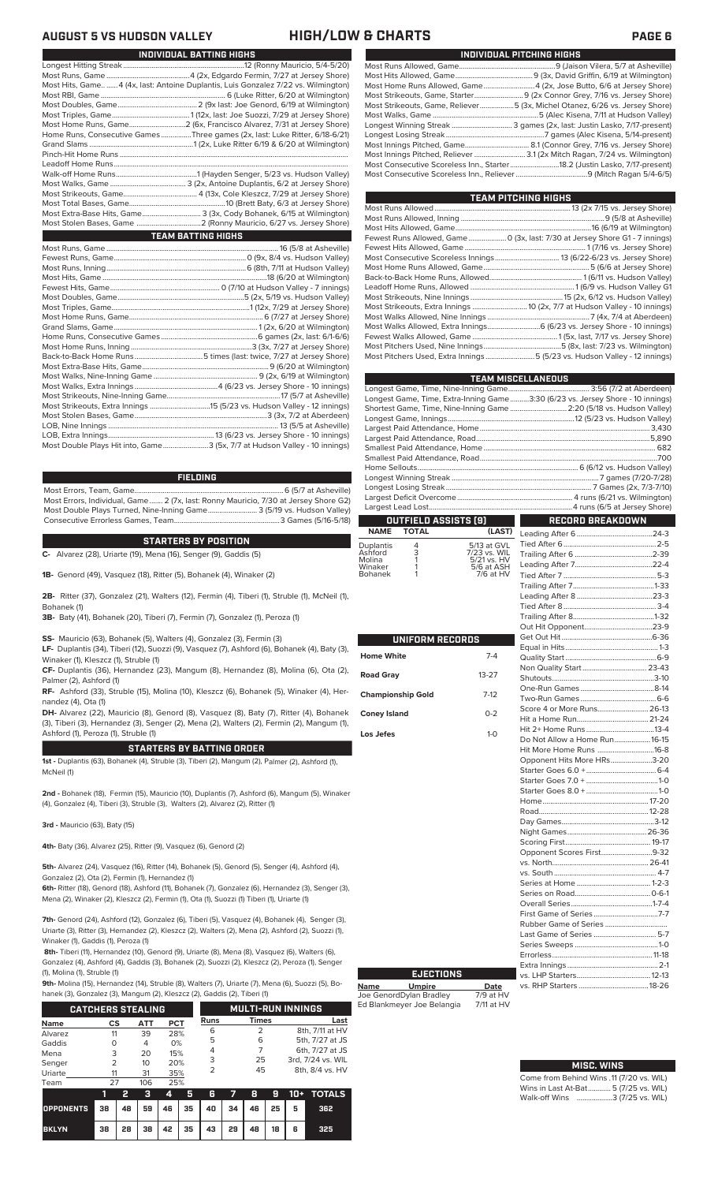| Most Hits, Game  4 (4x, last: Antoine Duplantis, Luis Gonzalez 7/22 vs. Wilmington) |
|-------------------------------------------------------------------------------------|
|                                                                                     |
|                                                                                     |
|                                                                                     |
|                                                                                     |
| Home Runs, Consecutive Games Three games (2x, last: Luke Ritter, 6/18-6/21)         |
|                                                                                     |
|                                                                                     |
|                                                                                     |
|                                                                                     |
|                                                                                     |
|                                                                                     |
|                                                                                     |
|                                                                                     |
| Most Extra-Base Hits, Game 3 (3x, Cody Bohanek, 6/15 at Wilmington)                 |
|                                                                                     |
| <b>TEAM BATTING HIGHS</b>                                                           |
|                                                                                     |
|                                                                                     |
|                                                                                     |

**INDIVIDUAL BATTING HIGHS**

| Most Double Plays Hit into, Game3 (5x, 7/7 at Hudson Valley - 10 innings) |  |
|---------------------------------------------------------------------------|--|

### **FIELDING**

Most Errors, Team, Game...............................................................................6 (5/7 at Asheville) Most Errors, Individual, Game....... 2 (7x, last: Ronny Mauricio, 7/30 at Jersey Shore G2) Most Double Plays Turned, Nine-Inning Game.......................... 3 (5/19 vs. Hudson Valley) Consecutive Errorless Games, Team...

### **STARTERS BY POSITION**

**C-** Alvarez (28), Uriarte (19), Mena (16), Senger (9), Gaddis (5)

**1B-** Genord (49), Vasquez (18), Ritter (5), Bohanek (4), Winaker (2)

**2B-** Ritter (37), Gonzalez (21), Walters (12), Fermin (4), Tiberi (1), Struble (1), McNeil (1), Bohanek (1)

**3B-** Baty (41), Bohanek (20), Tiberi (7), Fermin (7), Gonzalez (1), Peroza (1)

**SS-** Mauricio (63), Bohanek (5), Walters (4), Gonzalez (3), Fermin (3)

**LF-** Duplantis (34), Tiberi (12), Suozzi (9), Vasquez (7), Ashford (6), Bohanek (4), Baty (3), Winaker (1), Kleszcz (1), Struble (1)

**CF-** Duplantis (36), Hernandez (23), Mangum (8), Hernandez (8), Molina (6), Ota (2), Palmer (2), Ashford (1)

**RF-** Ashford (33), Struble (15), Molina (10), Kleszcz (6), Bohanek (5), Winaker (4), Hernandez (4), Ota (1)

**DH-** Alvarez (22), Mauricio (8), Genord (8), Vasquez (8), Baty (7), Ritter (4), Bohanek (3), Tiberi (3), Hernandez (3), Senger (2), Mena (2), Walters (2), Fermin (2), Mangum (1), Ashford (1), Peroza (1), Struble (1)

### **STARTERS BY BATTING ORDER**

**1st -** Duplantis (63), Bohanek (4), Struble (3), Tiberi (2), Mangum (2), Palmer (2), Ashford (1), McNeil (1)

**2nd -** Bohanek (18), Fermin (15), Mauricio (10), Duplantis (7), Ashford (6), Mangum (5), Winaker (4), Gonzalez (4), Tiberi (3), Struble (3), Walters (2), Alvarez (2), Ritter (1)

**3rd -** Mauricio (63), Baty (15)

**4th-** Baty (36), Alvarez (25), Ritter (9), Vasquez (6), Genord (2)

**5th-** Alvarez (24), Vasquez (16), Ritter (14), Bohanek (5), Genord (5), Senger (4), Ashford (4), Gonzalez (2), Ota (2), Fermin (1), Hernandez (1)

**6th-** Ritter (18), Genord (18), Ashford (11), Bohanek (7), Gonzalez (6), Hernandez (3), Senger (3), Mena (2), Winaker (2), Kleszcz (2), Fermin (1), Ota (1), Suozzi (1) Tiberi (1), Uriarte (1)

**7th-** Genord (24), Ashford (12), Gonzalez (6), Tiberi (5), Vasquez (4), Bohanek (4), Senger (3), Uriarte (3), Ritter (3), Hernandez (2), Kleszcz (2), Walters (2), Mena (2), Ashford (2), Suozzi (1), Winaker (1), Gaddis (1), Peroza (1)

**8th-** Tiberi (11), Hernandez (10), Genord (9), Uriarte (8), Mena (8), Vasquez (6), Walters (6), Gonzalez (4), Ashford (4), Gaddis (3), Bohanek (2), Suozzi (2), Kleszcz (2), Peroza (1), Senger (1), Molina (1), Struble (1)

**9th-** Molina (15), Hernandez (14), Struble (8), Walters (7), Uriarte (7), Mena (6), Suozzi (5), Bo-<br>banek (3), Gonzalez (3), Mangum (2), Kleszcz (2), Gaddis (2), Tiberi (1)

| hanek (3), Gonzalez (3), Mangum (2), Kleszcz (2), Gaddis (2), Tiberi (1) |                          |                 |            |             |                          |                   |  |  |  |  |
|--------------------------------------------------------------------------|--------------------------|-----------------|------------|-------------|--------------------------|-------------------|--|--|--|--|
|                                                                          | <b>CATCHERS STEALING</b> |                 |            |             | <b>MULTI-RUN INNINGS</b> |                   |  |  |  |  |
| Name                                                                     | CS                       | ATT             | <b>PCT</b> | <b>Runs</b> | Times                    | Last              |  |  |  |  |
| Alvarez                                                                  | 11                       | 39              | 28%        | 6           |                          | 8th, 7/11 at HV   |  |  |  |  |
| Gaddis                                                                   | O                        | 4               | 0%         | 5           | 6                        | 5th, 7/27 at JS   |  |  |  |  |
| Mena                                                                     | 3                        | 20              | 15%        | 4           |                          | 6th, 7/27 at JS   |  |  |  |  |
| Senger                                                                   | 2                        | 10 <sup>2</sup> | 20%        | 3           | 25                       | 3rd, 7/24 vs. WIL |  |  |  |  |
| Uriarte                                                                  | 11                       | 31              | 35%        | 2           | 45                       | 8th, 8/4 vs. HV   |  |  |  |  |
| Team                                                                     | 27                       | 106             | 25%        |             |                          |                   |  |  |  |  |

| .                                      |    |      |  |     |                        |  |  |                     |
|----------------------------------------|----|------|--|-----|------------------------|--|--|---------------------|
|                                        |    |      |  | 345 |                        |  |  | 6 7 8 9 10 + TOTALS |
| OPPONENTS 38 48 59 46 35 40 34 46 25 5 |    |      |  |     |                        |  |  | 362                 |
| <b>BKLYN</b>                           | 38 | 28 I |  |     | 38 42 35 43 29 48 18 6 |  |  | 325                 |

### **AUGUST 5 VS HUDSON VALLEY HIGH/LOW & CHARTS PAGE 6**

|  | INDIVIDUAL PITCHING HIGHS                                                   |
|--|-----------------------------------------------------------------------------|
|  |                                                                             |
|  |                                                                             |
|  | Most Home Runs Allowed, Game 4 (2x, Jose Butto, 6/6 at Jersey Shore)        |
|  |                                                                             |
|  | Most Strikeouts, Game, Reliever5 (3x, Michel Otanez, 6/26 vs. Jersey Shore) |
|  |                                                                             |
|  | Longest Winning Streak  3 games (2x, last: Justin Lasko, 7/17-present)      |
|  |                                                                             |
|  |                                                                             |
|  |                                                                             |
|  | Most Consecutive Scoreless Inn., Starter18.2 (Justin Lasko, 7/17-present)   |
|  |                                                                             |
|  |                                                                             |

| TEAM PITCHING HIGHS                                                          |  |
|------------------------------------------------------------------------------|--|
|                                                                              |  |
|                                                                              |  |
|                                                                              |  |
| Fewest Runs Allowed, Game  0 (3x, last: 7/30 at Jersey Shore G1 - 7 innings) |  |
|                                                                              |  |
|                                                                              |  |
|                                                                              |  |
|                                                                              |  |
|                                                                              |  |
|                                                                              |  |
| Most Strikeouts, Extra Innings  10 (2x, 7/7 at Hudson Valley - 10 innings)   |  |
|                                                                              |  |
|                                                                              |  |
|                                                                              |  |
|                                                                              |  |
| Most Pitchers Used, Extra Innings5 (5/23 vs. Hudson Valley - 12 innings)     |  |
|                                                                              |  |

|                   |               |                             | <b>TEAM MISCELLANEOUS</b>                                                      |  |  |
|-------------------|---------------|-----------------------------|--------------------------------------------------------------------------------|--|--|
|                   |               |                             |                                                                                |  |  |
|                   |               |                             | Longest Game, Time, Extra-Inning Game3:30 (6/23 vs. Jersey Shore - 10 innings) |  |  |
|                   |               |                             | Shortest Game, Time, Nine-Inning Game  2:20 (5/18 vs. Hudson Valley)           |  |  |
|                   |               |                             |                                                                                |  |  |
|                   |               |                             |                                                                                |  |  |
|                   |               |                             |                                                                                |  |  |
|                   |               |                             |                                                                                |  |  |
|                   |               |                             |                                                                                |  |  |
|                   |               |                             |                                                                                |  |  |
|                   |               |                             |                                                                                |  |  |
|                   |               |                             |                                                                                |  |  |
|                   |               |                             |                                                                                |  |  |
|                   |               |                             |                                                                                |  |  |
|                   |               |                             |                                                                                |  |  |
|                   |               | <b>OUTFIELD ASSISTS [9]</b> | <b>RECORD BREAKDOWN</b>                                                        |  |  |
| <b>NAME</b>       | <b>TOTAL</b>  | (LAST)                      |                                                                                |  |  |
| <b>Duplantis</b>  |               | 5/13 at GVL                 |                                                                                |  |  |
| Ashford           | $\frac{4}{3}$ | 7/23 vs. WIL                |                                                                                |  |  |
| Molina<br>Winaker |               | 5/21 vs. HV<br>5/6 at ASH   |                                                                                |  |  |
| <b>Bohanek</b>    |               | 7/6 at HV                   |                                                                                |  |  |

| UNIFORM RECORDS          |           |
|--------------------------|-----------|
| <b>Home White</b>        | $7 - 4$   |
| <b>Road Gray</b>         | $13 - 27$ |
|                          |           |
| <b>Championship Gold</b> | $7-12$    |
| <b>Coney Island</b>      | $0 - 2$   |
| Los Jefes                | $1 - 0$   |
|                          |           |
|                          |           |
|                          |           |
|                          |           |
|                          |           |
|                          |           |
|                          |           |
|                          |           |
|                          |           |
|                          |           |
|                          |           |
|                          |           |
|                          |           |

**Name Umpire Date** Joe GenordDylan Bradley 7/9 at HV Ed Blankmeyer Joe Belangia 7/11 at HV

**EJECTIONS**

| Non Quality Start 23-43       |  |
|-------------------------------|--|
|                               |  |
|                               |  |
|                               |  |
| Score 4 or More Runs 26-13    |  |
|                               |  |
|                               |  |
| Do Not Allow a Home Run 16-15 |  |
| Hit More Home Runs 16-8       |  |
| Opponent Hits More HRs3-20    |  |
|                               |  |
|                               |  |
|                               |  |
|                               |  |
|                               |  |
|                               |  |
|                               |  |
|                               |  |
| Opponent Scores First9-32     |  |
|                               |  |
|                               |  |
|                               |  |
|                               |  |
|                               |  |
|                               |  |
|                               |  |
| Last Game of Series  5-7      |  |
|                               |  |
|                               |  |
|                               |  |
|                               |  |
|                               |  |
|                               |  |

| <b>MISC. WINS</b>                        |
|------------------------------------------|
| Come from Behind Wins .11 (7/20 vs. WIL) |
| Wins in Last At-Bat 5 (7/25 vs. WIL)     |
| Walk-off Wins 3 (7/25 vs. WIL)           |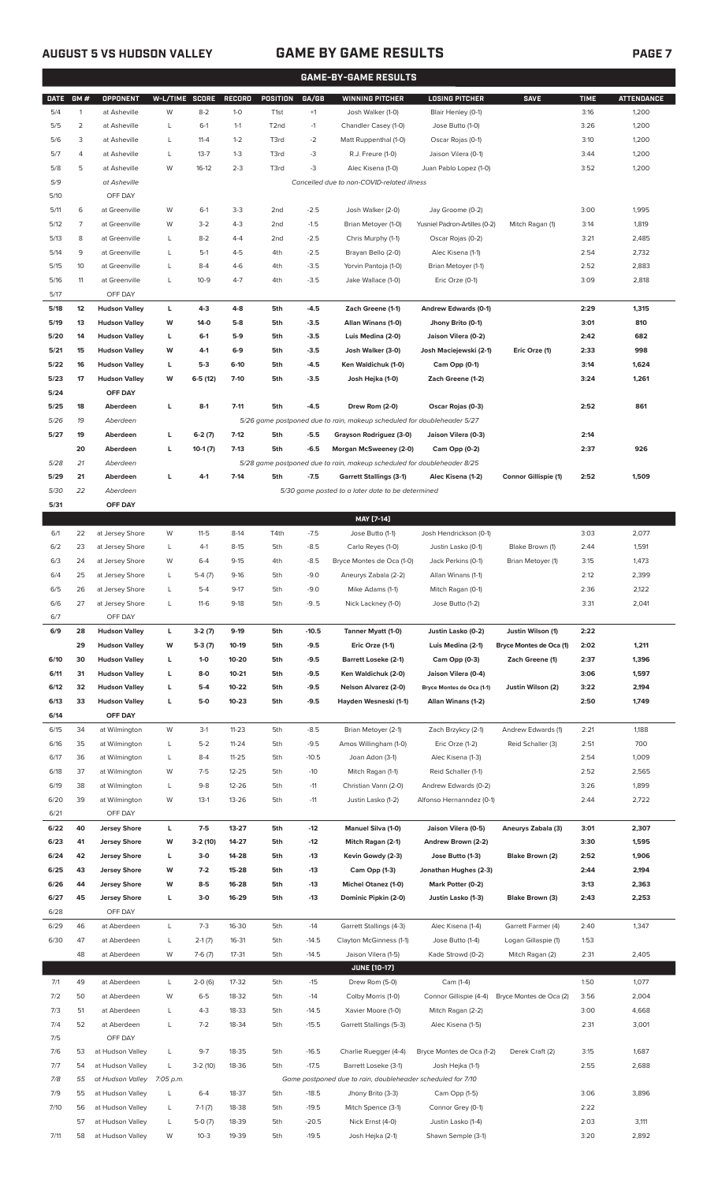## **AUGUST 5 VS HUDSON VALLEY GAME BY GAME RESULTS PAGE 7**

|             | <b>GAME-BY-GAME RESULTS</b> |                      |                |           |           |                   |         |                                                                         |                               |                             |             |                   |
|-------------|-----------------------------|----------------------|----------------|-----------|-----------|-------------------|---------|-------------------------------------------------------------------------|-------------------------------|-----------------------------|-------------|-------------------|
| <b>DATE</b> | GM#                         | OPPONENT             | W-L/TIME SCORE |           | RECORD    | POSITION          | GA/GB   | <b>WINNING PITCHER</b>                                                  | <b>LOSING PITCHER</b>         | <b>SAVE</b>                 | <b>TIME</b> | <b>ATTENDANCE</b> |
| 5/4         | $\mathbf{1}$                | at Asheville         | W              | $8 - 2$   | $1 - 0$   | T <sub>1st</sub>  | $+1$    | Josh Walker (1-0)                                                       | Blair Henley (0-1)            |                             | 3:16        | 1,200             |
| 5/5         | 2                           | at Asheville         | L              | $6-1$     | $1 - 1$   | T <sub>2</sub> nd | $-1$    | Chandler Casey (1-0)                                                    | Jose Butto (1-0)              |                             | 3:26        | 1,200             |
| 5/6         | 3                           | at Asheville         | L              | $11 - 4$  | $1 - 2$   | T3rd              | $-2$    | Matt Ruppenthal (1-0)                                                   | Oscar Rojas (0-1)             |                             | 3:10        | 1,200             |
| 5/7         | 4                           | at Asheville         | L              | $13 - 7$  | $1 - 3$   | T3rd              | $-3$    | R.J. Freure (1-0)                                                       | Jaison Vilera (0-1)           |                             | 3:44        | 1,200             |
| 5/8         | 5                           | at Asheville         | W              | $16-12$   | $2 - 3$   | T3rd              | $-3$    | Alec Kisena (1-0)                                                       | Juan Pablo Lopez (1-0)        |                             | 3:52        | 1,200             |
| 5/9         |                             | at Asheville         |                |           |           |                   |         | Cancelled due to non-COVID-related illness                              |                               |                             |             |                   |
| 5/10        |                             | OFF DAY              |                |           |           |                   |         |                                                                         |                               |                             |             |                   |
| 5/11        | 6                           | at Greenville        | W              | $6-1$     | $3 - 3$   | 2nd               | $-2.5$  | Josh Walker (2-0)                                                       | Jay Groome (0-2)              |                             | 3:00        | 1,995             |
| 5/12        | 7                           | at Greenville        | W              | $3-2$     | $4 - 3$   | 2 <sub>nd</sub>   | $-1.5$  | Brian Metoyer (1-0)                                                     | Yusniel Padron-Artilles (0-2) | Mitch Ragan (1)             | 3:14        | 1,819             |
| 5/13        | 8                           | at Greenville        | L              | $8 - 2$   | $4 - 4$   | 2 <sub>nd</sub>   | $-2.5$  | Chris Murphy (1-1)                                                      | Oscar Rojas (0-2)             |                             | 3:21        | 2,485             |
| 5/14        | 9                           | at Greenville        | L              | $5-1$     | $4 - 5$   | 4th               | $-2.5$  | Brayan Bello (2-0)                                                      | Alec Kisena (1-1)             |                             | 2:54        | 2,732             |
| 5/15        | 10                          | at Greenville        | L              | $8 - 4$   | $4-6$     | 4th               | $-3.5$  | Yorvin Pantoja (1-0)                                                    | Brian Metoyer (1-1)           |                             | 2:52        | 2,883             |
| 5/16        | 11                          | at Greenville        | L              | $10 - 9$  | $4 - 7$   | 4th               | $-3.5$  | Jake Wallace (1-0)                                                      | Eric Orze (0-1)               |                             | 3:09        | 2,818             |
| 5/17        |                             | OFF DAY              |                |           |           |                   |         |                                                                         |                               |                             |             |                   |
| 5/18        | 12                          | <b>Hudson Valley</b> | L              | $4 - 3$   | $4 - 8$   | 5th               | $-4.5$  | Zach Greene (1-1)                                                       | Andrew Edwards (0-1)          |                             | 2:29        | 1,315             |
| 5/19        | 13                          | <b>Hudson Valley</b> | W              | 14-0      | $5-8$     | 5th               | $-3.5$  | Allan Winans (1-0)                                                      | Jhony Brito (0-1)             |                             | 3:01        | 810               |
|             |                             |                      |                |           |           |                   |         |                                                                         |                               |                             |             |                   |
| 5/20        | 14                          | <b>Hudson Valley</b> | L              | $6-1$     | $5-9$     | 5th               | $-3.5$  | Luis Medina (2-0)                                                       | Jaison Vilera (0-2)           |                             | 2:42        | 682               |
| 5/21        | 15                          | <b>Hudson Valley</b> | W              | 4-1       | $6-9$     | 5th               | $-3.5$  | Josh Walker (3-0)                                                       | Josh Maciejewski (2-1)        | Eric Orze (1)               | 2:33        | 998               |
| 5/22        | 16                          | <b>Hudson Valley</b> | L              | $5-3$     | $6-10$    | 5th               | -4.5    | Ken Waldichuk (1-0)                                                     | Cam Opp (0-1)                 |                             | 3:14        | 1,624             |
| 5/23        | 17                          | <b>Hudson Valley</b> | W              | $6-5(12)$ | $7 - 10$  | 5th               | $-3.5$  | Josh Hejka (1-0)                                                        | Zach Greene (1-2)             |                             | 3:24        | 1,261             |
| 5/24        |                             | OFF DAY              |                |           |           |                   |         |                                                                         |                               |                             |             |                   |
| 5/25        | 18                          | Aberdeen             | L              | $8-1$     | $7 - 11$  | 5th               | -4.5    | Drew Rom (2-0)                                                          | Oscar Rojas (0-3)             |                             | 2:52        | 861               |
| 5/26        | 19                          | Aberdeen             |                |           |           |                   |         | 5/26 game postponed due to rain, makeup scheduled for doubleheader 5/27 |                               |                             |             |                   |
| 5/27        | 19                          | Aberdeen             | L              | $6-2(7)$  | $7-12$    | 5th               | $-5.5$  | Grayson Rodriguez (3-0)                                                 | Jaison Vilera (0-3)           |                             | 2:14        |                   |
|             | 20                          | Aberdeen             | L              | $10-1(7)$ | $7-13$    | 5th               | -6.5    | Morgan McSweeney (2-0)                                                  | Cam Opp (0-2)                 |                             | 2:37        | 926               |
| 5/28        | 21                          | Aberdeen             |                |           |           |                   |         | 5/28 game postponed due to rain, makeup scheduled for doubleheader 8/25 |                               |                             |             |                   |
| 5/29        | 21                          | Aberdeen             | L              | $4-1$     | $7 - 14$  | 5th               | $-7.5$  | <b>Garrett Stallings (3-1)</b>                                          | Alec Kisena (1-2)             | <b>Connor Gillispie (1)</b> | 2:52        | 1,509             |
| 5/30        | 22                          | Aberdeen             |                |           |           |                   |         | 5/30 game posted to a later date to be determined                       |                               |                             |             |                   |
| 5/31        |                             | OFF DAY              |                |           |           |                   |         |                                                                         |                               |                             |             |                   |
|             |                             |                      |                |           |           |                   |         | MAY [7-14]                                                              |                               |                             |             |                   |
| 6/1         | 22                          | at Jersey Shore      | W              | $11 - 5$  | $8-14$    | T4th              | $-7.5$  | Jose Butto (1-1)                                                        | Josh Hendrickson (0-1)        |                             | 3:03        | 2,077             |
| 6/2         | 23                          | at Jersey Shore      | L              | $4-1$     | $8 - 15$  | 5th               | $-8.5$  | Carlo Reyes (1-0)                                                       | Justin Lasko (0-1)            | Blake Brown (1)             | 2:44        | 1,591             |
| 6/3         | 24                          | at Jersey Shore      | W              | $6 - 4$   | $9-15$    | 4th               | $-8.5$  | Bryce Montes de Oca (1-0)                                               | Jack Perkins (0-1)            | Brian Metoyer (1)           | 3:15        | 1,473             |
| 6/4         | 25                          | at Jersey Shore      | L              | $5-4(7)$  | $9-16$    | 5th               | $-9.0$  | Aneurys Zabala (2-2)                                                    | Allan Winans (1-1)            |                             | 2:12        | 2,399             |
| 6/5         | 26                          | at Jersey Shore      | L              | $5 - 4$   | $9 - 17$  | 5th               | $-9.0$  | Mike Adams (1-1)                                                        | Mitch Ragan (0-1)             |                             | 2:36        | 2,122             |
| 6/6         | 27                          | at Jersey Shore      | L              | $11-6$    | $9-18$    | 5th               | $-9.5$  | Nick Lackney (1-0)                                                      | Jose Butto (1-2)              |                             | 3:31        | 2,041             |
| 6/7         |                             | OFF DAY              |                |           |           |                   |         |                                                                         |                               |                             |             |                   |
| 6/9         | 28                          | <b>Hudson Valley</b> | L              | $3-2(7)$  | 9-19      | 5th               | $-10.5$ | Tanner Myatt (1-0)                                                      | Justin Lasko (0-2)            | Justin Wilson (1)           | 2:22        |                   |
|             | 29                          | <b>Hudson Valley</b> | W              | $5-3(7)$  | 10-19     | 5th               | $-9.5$  | Eric Orze (1-1)                                                         | Luis Medina (2-1)             | Bryce Montes de Oca (1)     | 2:02        | 1,211             |
| 6/10        | 30                          | <b>Hudson Valley</b> | L.             | $1-0$     | $10 - 20$ | 5th               | $-9.5$  | <b>Barrett Loseke (2-1)</b>                                             | Cam Opp (0-3)                 | Zach Greene (1)             | 2:37        | 1,396             |
| 6/11        | 31                          | <b>Hudson Valley</b> | L              | 8-0       | $10 - 21$ | 5th               | $-9.5$  | Ken Waldichuk (2-0)                                                     | Jaison Vilera (0-4)           |                             | 3:06        | 1,597             |
| 6/12        | 32                          | <b>Hudson Valley</b> | L              | $5-4$     | $10 - 22$ | 5th               | $-9.5$  | Nelson Alvarez (2-0)                                                    | Bryce Montes de Oca (1-1)     | Justin Wilson (2)           | 3:22        | 2,194             |
| 6/13        | 33                          | <b>Hudson Valley</b> | L              | 5-0       | $10 - 23$ | 5th               | $-9.5$  | Hayden Wesneski (1-1)                                                   | Allan Winans (1-2)            |                             | 2:50        | 1,749             |
| 6/14        |                             | OFF DAY              |                |           |           |                   |         |                                                                         |                               |                             |             |                   |
| 6/15        | 34                          | at Wilmington        | W              | $3-1$     | $11 - 23$ | 5th               | $-8.5$  | Brian Metoyer (2-1)                                                     | Zach Brzykcy (2-1)            | Andrew Edwards (1)          | 2:21        | 1,188             |
| 6/16        | 35                          | at Wilmington        | L              | $5 - 2$   | $11 - 24$ | 5th               | $-9.5$  | Amos Willingham (1-0)                                                   | Eric Orze (1-2)               | Reid Schaller (3)           | 2:51        | 700               |
| 6/17        | 36                          | at Wilmington        | L              | $8 - 4$   | $11 - 25$ | 5th               | $-10.5$ | Joan Adon (3-1)                                                         | Alec Kisena (1-3)             |                             | 2:54        | 1,009             |
| 6/18        | 37                          | at Wilmington        | W              | $7-5$     | $12 - 25$ | 5th               | $-10$   | Mitch Ragan (1-1)                                                       | Reid Schaller (1-1)           |                             | 2:52        | 2,565             |
| 6/19        | 38                          | at Wilmington        |                | $9 - 8$   | 12-26     | 5th               | $-11$   | Christian Vann (2-0)                                                    |                               |                             | 3:26        |                   |
|             |                             |                      | L              |           |           |                   |         |                                                                         | Andrew Edwards (0-2)          |                             |             | 1,899             |
| 6/20        | 39                          | at Wilmington        | W              | $13-1$    | 13-26     | 5th               | $-11$   | Justin Lasko (1-2)                                                      | Alfonso Hernanndez (0-1)      |                             | 2:44        | 2,722             |
| 6/21        |                             | OFF DAY              |                |           |           |                   |         |                                                                         |                               |                             |             |                   |
| 6/22        | 40                          | <b>Jersey Shore</b>  | L              | $7-5$     | 13-27     | 5th               | $-12$   | Manuel Silva (1-0)                                                      | Jaison Vilera (0-5)           | Aneurys Zabala (3)          | 3:01        | 2,307             |
| 6/23        | 41                          | <b>Jersey Shore</b>  | W              | $3-2(10)$ | 14-27     | 5th               | $-12$   | Mitch Ragan (2-1)                                                       | Andrew Brown (2-2)            |                             | 3:30        | 1,595             |
| 6/24        | 42                          | <b>Jersey Shore</b>  | L.             | $3-0$     | 14-28     | 5th               | $-13$   | Kevin Gowdy (2-3)                                                       | Jose Butto (1-3)              | Blake Brown (2)             | 2:52        | 1,906             |
| 6/25        | 43                          | <b>Jersey Shore</b>  | W              | $7-2$     | 15-28     | 5th               | $-13$   | Cam Opp (1-3)                                                           | Jonathan Hughes (2-3)         |                             | 2:44        | 2,194             |
| 6/26        | 44                          | <b>Jersey Shore</b>  | W              | $8 - 5$   | 16-28     | 5th               | $-13$   | <b>Michel Otanez (1-0)</b>                                              | Mark Potter (0-2)             |                             | 3:13        | 2,363             |
| 6/27        | 45                          | <b>Jersey Shore</b>  | L.             | $3-0$     | 16-29     | 5th               | $-13$   | Dominic Pipkin (2-0)                                                    | Justin Lasko (1-3)            | Blake Brown (3)             | 2:43        | 2,253             |
| 6/28        |                             | OFF DAY              |                |           |           |                   |         |                                                                         |                               |                             |             |                   |
| 6/29        | 46                          | at Aberdeen          | L              | $7-3$     | 16-30     | 5th               | $-14$   | Garrett Stallings (4-3)                                                 | Alec Kisena (1-4)             | Garrett Farmer (4)          | 2:40        | 1,347             |
| 6/30        | 47                          | at Aberdeen          | L              | $2-1(7)$  | 16-31     | 5th               | $-14.5$ | Clayton McGinness (1-1)                                                 | Jose Butto (1-4)              | Logan Gillaspie (1)         | 1:53        |                   |
|             | 48                          | at Aberdeen          | W              | $7-6(7)$  | $17 - 31$ | 5th               | $-14.5$ | Jaison Vilera (1-5)                                                     | Kade Strowd (0-2)             | Mitch Ragan (2)             | 2:31        | 2,405             |
|             |                             |                      |                |           |           |                   |         | <b>JUNE (10-17)</b>                                                     |                               |                             |             |                   |
| 7/1         | 49                          | at Aberdeen          | L              | $2-0(6)$  | 17-32     | 5th               | $-15$   | Drew Rom (5-0)                                                          | Cam (1-4)                     |                             | 1:50        | 1,077             |
| 7/2         | 50                          | at Aberdeen          | W              | $6 - 5$   | 18-32     | 5th               | $-14$   | Colby Morris (1-0)                                                      | Connor Gillispie (4-4)        | Bryce Montes de Oca (2)     | 3:56        | 2,004             |

| .    | ╌  | <u>ulmuciucii</u> |           | 20(0)     | 17 J Z | ◡   | $\overline{\phantom{0}}$ | $U = VV$ $\cup$ $U = VV$                                    | ידיוויט ט                 |                         | $\sim$ | $\cdot$ . $\circ$ |
|------|----|-------------------|-----------|-----------|--------|-----|--------------------------|-------------------------------------------------------------|---------------------------|-------------------------|--------|-------------------|
| 7/2  | 50 | at Aberdeen       | W         | $6 - 5$   | 18-32  | 5th | $-14$                    | Colby Morris (1-0)                                          | Connor Gillispie (4-4)    | Bryce Montes de Oca (2) | 3:56   | 2,004             |
| 7/3  | 51 | at Aberdeen       |           | $4-3$     | 18-33  | 5th | $-14.5$                  | Xavier Moore (1-0)                                          | Mitch Ragan (2-2)         |                         | 3:00   | 4,668             |
| 7/4  | 52 | at Aberdeen       |           | $7 - 2$   | 18-34  | 5th | $-15.5$                  | Garrett Stallings (5-3)                                     | Alec Kisena (1-5)         |                         | 2:31   | 3,001             |
| 7/5  |    | OFF DAY           |           |           |        |     |                          |                                                             |                           |                         |        |                   |
| 7/6  | 53 | at Hudson Valley  |           | $9 - 7$   | 18-35  | 5th | $-16.5$                  | Charlie Ruegger (4-4)                                       | Bryce Montes de Oca (1-2) | Derek Craft (2)         | 3:15   | 1,687             |
| 7/7  | 54 | at Hudson Valley  |           | $3-2(10)$ | 18-36  | 5th | $-17.5$                  | Barrett Loseke (3-1)                                        | Josh Heika (1-1)          |                         | 2:55   | 2,688             |
| 7/8  | 55 | at Hudson Valley  | 7:05 p.m. |           |        |     |                          | Game postponed due to rain, doubleheader scheduled for 7/10 |                           |                         |        |                   |
| 7/9  | 55 | at Hudson Valley  |           | $6 - 4$   | 18-37  | 5th | $-18.5$                  | Jhony Brito (3-3)                                           | Cam Opp (1-5)             |                         | 3:06   | 3,896             |
| 7/10 | 56 | at Hudson Valley  |           | $7-1(7)$  | 18-38  | 5th | $-19.5$                  | Mitch Spence (3-1)                                          | Connor Grey (0-1)         |                         | 2:22   |                   |
|      | 57 | at Hudson Valley  |           | $5-0(7)$  | 18-39  | 5th | $-20.5$                  | Nick Ernst (4-0)                                            | Justin Lasko (1-4)        |                         | 2:03   | 3,111             |
| 7/11 | 58 | at Hudson Valley  | W         | $10-3$    | 19-39  | 5th | $-19.5$                  | Josh Hejka (2-1)                                            | Shawn Semple (3-1)        |                         | 3:20   | 2,892             |
|      |    |                   |           |           |        |     |                          |                                                             |                           |                         |        |                   |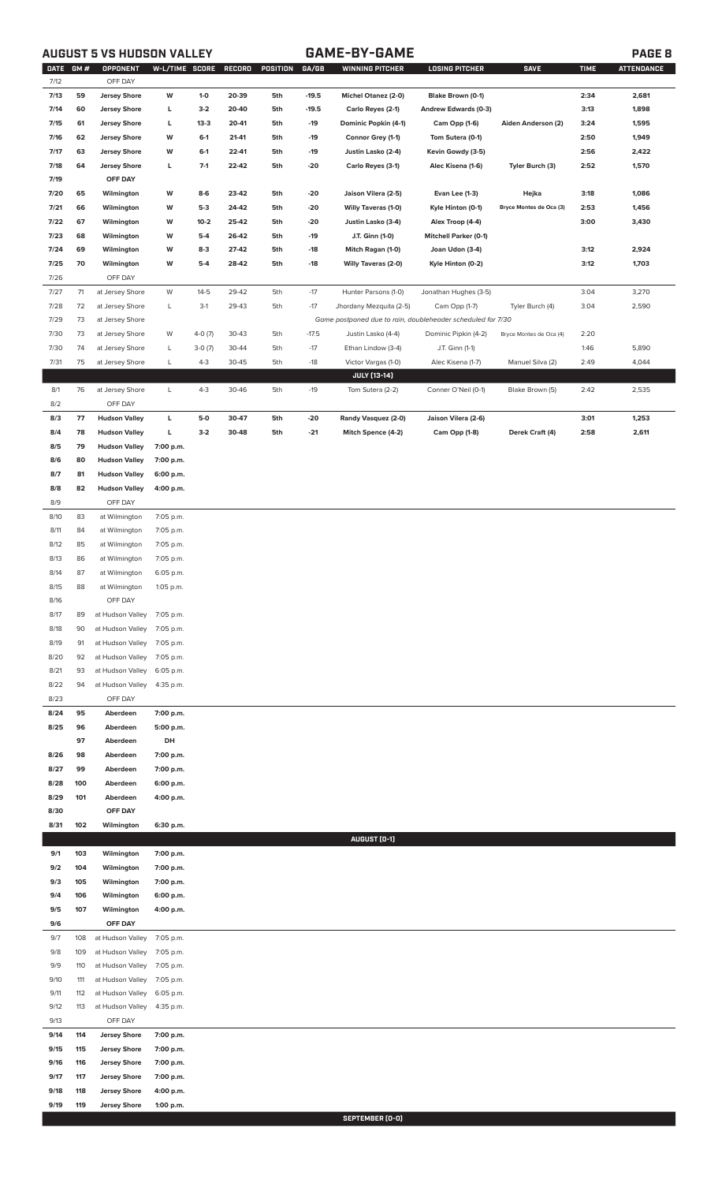# **AUGUST 5 VS HUDSON VALLEY GAME-BY-GAME PAGE 8**

|      | DATE GM # | OPPONENT             | W-L/TIME SCORE |          | RECORD | POSITION | GA/GB   | <b>WINNING PITCHER</b>                                      | <b>LOSING PITCHER</b>        | <b>SAVE</b>             | <b>TIME</b> | <b>ATTENDANCE</b> |
|------|-----------|----------------------|----------------|----------|--------|----------|---------|-------------------------------------------------------------|------------------------------|-------------------------|-------------|-------------------|
| 7/12 |           | OFF DAY              |                |          |        |          |         |                                                             |                              |                         |             |                   |
| 7/13 | 59        | <b>Jersey Shore</b>  | W              | $1-0$    | 20-39  | 5th      | $-19.5$ | Michel Otanez (2-0)                                         | Blake Brown (0-1)            |                         | 2:34        | 2,681             |
| 7/14 | 60        | <b>Jersey Shore</b>  | L              | $3-2$    | 20-40  | 5th      | $-19.5$ | Carlo Reyes (2-1)                                           | Andrew Edwards (0-3)         |                         | 3:13        | 1,898             |
| 7/15 | 61        | <b>Jersey Shore</b>  | Г              | $13-3$   | 20-41  | 5th      | -19     | Dominic Popkin (4-1)                                        | Cam Opp (1-6)                | Aiden Anderson (2)      | 3:24        | 1,595             |
| 7/16 | 62        | <b>Jersey Shore</b>  | W              | $6-1$    | 21-41  | 5th      | -19     | Connor Grey (1-1)                                           | Tom Sutera (0-1)             |                         | 2:50        | 1,949             |
| 7/17 | 63        | <b>Jersey Shore</b>  | W              | $6-1$    | 22-41  | 5th      | $-19$   | Justin Lasko (2-4)                                          | Kevin Gowdy (3-5)            |                         | 2:56        | 2,422             |
| 7/18 | 64        | <b>Jersey Shore</b>  | L              | $7-1$    | 22-42  | 5th      | -20     | Carlo Reyes (3-1)                                           | Alec Kisena (1-6)            | Tyler Burch (3)         | 2:52        | 1,570             |
| 7/19 |           | OFF DAY              |                |          |        |          |         |                                                             |                              |                         |             |                   |
|      |           |                      |                |          |        |          |         |                                                             |                              |                         |             |                   |
| 7/20 | 65        | Wilmington           | W              | 8-6      | 23-42  | 5th      | -20     | Jaison Vilera (2-5)                                         | Evan Lee (1-3)               | Hejka                   | 3:18        | 1,086             |
| 7/21 | 66        | Wilmington           | W              | $5-3$    | 24-42  | 5th      | -20     | Willy Taveras (1-0)                                         | Kyle Hinton (0-1)            | Bryce Montes de Oca (3) | 2:53        | 1,456             |
| 7/22 | 67        | Wilmington           | W              | $10-2$   | 25-42  | 5th      | -20     | Justin Lasko (3-4)                                          | Alex Troop (4-4)             |                         | 3:00        | 3,430             |
| 7/23 | 68        | Wilmington           | W              | $5-4$    | 26-42  | 5th      | $-19$   | J.T. Ginn (1-0)                                             | <b>Mitchell Parker (0-1)</b> |                         |             |                   |
| 7/24 | 69        | Wilmington           | W              | $8-3$    | 27-42  | 5th      | $-18$   | Mitch Ragan (1-0)                                           | Joan Udon (3-4)              |                         | 3:12        | 2,924             |
| 7/25 | 70        | Wilmington           | W              | $5-4$    | 28-42  | 5th      | $-18$   | <b>Willy Taveras (2-0)</b>                                  | Kyle Hinton (0-2)            |                         | 3:12        | 1,703             |
| 7/26 |           | OFF DAY              |                |          |        |          |         |                                                             |                              |                         |             |                   |
| 7/27 | 71        | at Jersey Shore      | W              | $14-5$   | 29-42  | 5th      | $-17$   | Hunter Parsons (1-0)                                        | Jonathan Hughes (3-5)        |                         | 3:04        | 3,270             |
| 7/28 | 72        | at Jersey Shore      | L              | $3-1$    | 29-43  | 5th      | $-17$   | Jhordany Mezquita (2-5)                                     | Cam Opp (1-7)                | Tyler Burch (4)         | 3:04        | 2,590             |
|      |           |                      |                |          |        |          |         |                                                             |                              |                         |             |                   |
| 7/29 | 73        | at Jersey Shore      |                |          |        |          |         | Game postponed due to rain, doubleheader scheduled for 7/30 |                              |                         |             |                   |
| 7/30 | 73        | at Jersey Shore      | W              | $4-0(7)$ | 30-43  | 5th      | $-17.5$ | Justin Lasko (4-4)                                          | Dominic Pipkin (4-2)         | Bryce Montes de Oca (4) | 2:20        |                   |
| 7/30 | 74        | at Jersey Shore      | L              | $3-0(7)$ | 30-44  | 5th      | $-17$   | Ethan Lindow (3-4)                                          | J.T. Ginn (1-1)              |                         | 1:46        | 5,890             |
| 7/31 | 75        | at Jersey Shore      | L              | $4 - 3$  | 30-45  | 5th      | $-18$   | Victor Vargas (1-0)                                         | Alec Kisena (1-7)            | Manuel Silva (2)        | 2:49        | 4,044             |
|      |           |                      |                |          |        |          |         | <b>JULY [13-14]</b>                                         |                              |                         |             |                   |
| 8/1  | 76        | at Jersey Shore      | L              | $4 - 3$  | 30-46  | 5th      | $-19$   | Tom Sutera (2-2)                                            | Conner O'Neil (0-1)          | Blake Brown (5)         | 2:42        | 2,535             |
| 8/2  |           | OFF DAY              |                |          |        |          |         |                                                             |                              |                         |             |                   |
| 8/3  | 77        | <b>Hudson Valley</b> | L              | $5-0$    | 30-47  | 5th      | $-20$   | Randy Vasquez (2-0)                                         | Jaison Vilera (2-6)          |                         | 3:01        | 1,253             |
|      |           |                      |                |          |        |          |         |                                                             |                              |                         |             |                   |
| 8/4  | 78        | <b>Hudson Valley</b> | г              | $3 - 2$  | 30-48  | 5th      | $-21$   | Mitch Spence (4-2)                                          | Cam Opp (1-8)                | Derek Craft (4)         | 2:58        | 2,611             |
| 8/5  | 79        | <b>Hudson Valley</b> | 7:00 p.m.      |          |        |          |         |                                                             |                              |                         |             |                   |
| 8/6  | 80        | <b>Hudson Valley</b> | 7:00 p.m.      |          |        |          |         |                                                             |                              |                         |             |                   |
| 8/7  | 81        | <b>Hudson Valley</b> | 6:00 p.m.      |          |        |          |         |                                                             |                              |                         |             |                   |
| 8/8  | 82        | <b>Hudson Valley</b> | 4:00 p.m.      |          |        |          |         |                                                             |                              |                         |             |                   |
| 8/9  |           | OFF DAY              |                |          |        |          |         |                                                             |                              |                         |             |                   |
| 8/10 | 83        | at Wilmington        | 7:05 p.m.      |          |        |          |         |                                                             |                              |                         |             |                   |
| 8/11 | 84        | at Wilmington        | 7:05 p.m.      |          |        |          |         |                                                             |                              |                         |             |                   |
|      |           |                      |                |          |        |          |         |                                                             |                              |                         |             |                   |
| 8/12 | 85        | at Wilmington        | 7:05 p.m.      |          |        |          |         |                                                             |                              |                         |             |                   |
| 8/13 | 86        | at Wilmington        | 7:05 p.m.      |          |        |          |         |                                                             |                              |                         |             |                   |
| 8/14 | 87        | at Wilmington        | 6:05 p.m.      |          |        |          |         |                                                             |                              |                         |             |                   |
| 8/15 | 88        | at Wilmington        | 1:05 p.m.      |          |        |          |         |                                                             |                              |                         |             |                   |
| 8/16 |           | OFF DAY              |                |          |        |          |         |                                                             |                              |                         |             |                   |
| 8/17 | 89        | at Hudson Valley     | 7:05 p.m.      |          |        |          |         |                                                             |                              |                         |             |                   |
| 8/18 | 90        | at Hudson Valley     | 7:05 p.m.      |          |        |          |         |                                                             |                              |                         |             |                   |
|      |           |                      |                |          |        |          |         |                                                             |                              |                         |             |                   |
| 8/19 | 91        | at Hudson Valley     | 7:05 p.m.      |          |        |          |         |                                                             |                              |                         |             |                   |
| 8/20 | 92        | at Hudson Valley     | 7:05 p.m.      |          |        |          |         |                                                             |                              |                         |             |                   |
| 8/21 | 93        | at Hudson Valley     | 6:05 p.m.      |          |        |          |         |                                                             |                              |                         |             |                   |
| 8/22 | 94        | at Hudson Valley     | 4:35 p.m.      |          |        |          |         |                                                             |                              |                         |             |                   |
| 8/23 |           | OFF DAY              |                |          |        |          |         |                                                             |                              |                         |             |                   |
| 8/24 | 95        | Aberdeen             | 7:00 p.m.      |          |        |          |         |                                                             |                              |                         |             |                   |
| 8/25 | 96        | Aberdeen             | 5:00 p.m.      |          |        |          |         |                                                             |                              |                         |             |                   |
|      | 97        | Aberdeen             | DH             |          |        |          |         |                                                             |                              |                         |             |                   |
| 8/26 | 98        | Aberdeen             | 7:00 p.m.      |          |        |          |         |                                                             |                              |                         |             |                   |
|      |           |                      |                |          |        |          |         |                                                             |                              |                         |             |                   |
| 8/27 | 99        | Aberdeen             | 7:00 p.m.      |          |        |          |         |                                                             |                              |                         |             |                   |
| 8/28 | 100       | Aberdeen             | 6:00 p.m.      |          |        |          |         |                                                             |                              |                         |             |                   |
| 8/29 | 101       | Aberdeen             | 4:00 p.m.      |          |        |          |         |                                                             |                              |                         |             |                   |
| 8/30 |           | OFF DAY              |                |          |        |          |         |                                                             |                              |                         |             |                   |
| 8/31 | 102       | Wilmington           | 6:30 p.m.      |          |        |          |         |                                                             |                              |                         |             |                   |
|      |           |                      |                |          |        |          |         | AUGUST (0-1)                                                |                              |                         |             |                   |
| 9/1  | 103       | Wilmington           | 7:00 p.m.      |          |        |          |         |                                                             |                              |                         |             |                   |
| 9/2  | 104       | Wilmington           | 7:00 p.m.      |          |        |          |         |                                                             |                              |                         |             |                   |
|      |           |                      |                |          |        |          |         |                                                             |                              |                         |             |                   |
| 9/3  | 105       | Wilmington           | 7:00 p.m.      |          |        |          |         |                                                             |                              |                         |             |                   |
| 9/4  | 106       | Wilmington           | 6:00 p.m.      |          |        |          |         |                                                             |                              |                         |             |                   |
| 9/5  | 107       | Wilmington           | 4:00 p.m.      |          |        |          |         |                                                             |                              |                         |             |                   |
| 9/6  |           | OFF DAY              |                |          |        |          |         |                                                             |                              |                         |             |                   |
| 9/7  | 108       | at Hudson Valley     | 7:05 p.m.      |          |        |          |         |                                                             |                              |                         |             |                   |
| 9/8  | 109       | at Hudson Valley     | 7:05 p.m.      |          |        |          |         |                                                             |                              |                         |             |                   |
| 9/9  | 110       | at Hudson Valley     | 7:05 p.m.      |          |        |          |         |                                                             |                              |                         |             |                   |
| 9/10 | 111       | at Hudson Valley     | 7:05 p.m.      |          |        |          |         |                                                             |                              |                         |             |                   |
|      |           |                      |                |          |        |          |         |                                                             |                              |                         |             |                   |
| 9/11 | 112       | at Hudson Valley     | 6:05 p.m.      |          |        |          |         |                                                             |                              |                         |             |                   |
| 9/12 | 113       | at Hudson Valley     | 4:35 p.m.      |          |        |          |         |                                                             |                              |                         |             |                   |
| 9/13 |           | OFF DAY              |                |          |        |          |         |                                                             |                              |                         |             |                   |
| 9/14 | 114       | <b>Jersey Shore</b>  | 7:00 p.m.      |          |        |          |         |                                                             |                              |                         |             |                   |
| 9/15 | 115       | <b>Jersey Shore</b>  | 7:00 p.m.      |          |        |          |         |                                                             |                              |                         |             |                   |
| 9/16 | 116       | <b>Jersey Shore</b>  | 7:00 p.m.      |          |        |          |         |                                                             |                              |                         |             |                   |
| 9/17 | 117       | <b>Jersey Shore</b>  | 7:00 p.m.      |          |        |          |         |                                                             |                              |                         |             |                   |
| 9/18 | 118       | <b>Jersey Shore</b>  | 4:00 p.m.      |          |        |          |         |                                                             |                              |                         |             |                   |
|      |           |                      |                |          |        |          |         |                                                             |                              |                         |             |                   |
| 9/19 | 119       | <b>Jersey Shore</b>  | 1:00 p.m.      |          |        |          |         |                                                             |                              |                         |             |                   |